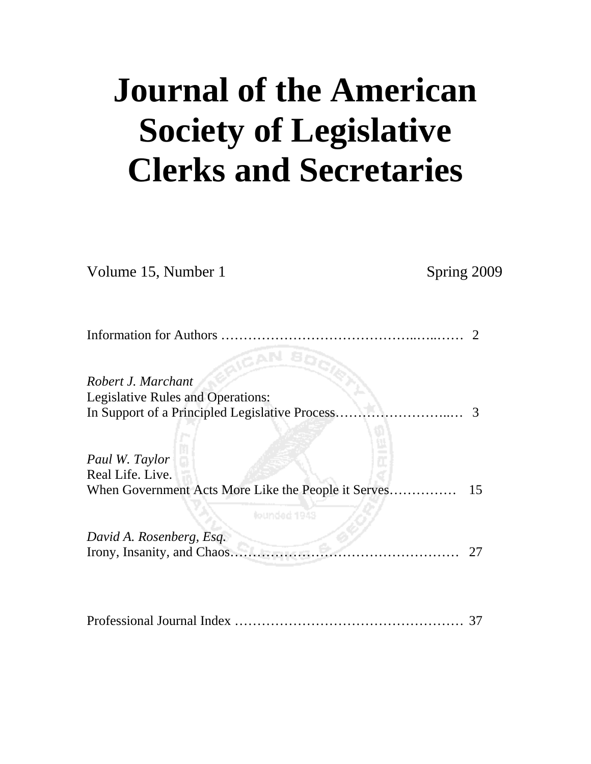# **Journal of the American Society of Legislative Clerks and Secretaries**

| Volume 15, Number 1                                                           | Spring 2009 |
|-------------------------------------------------------------------------------|-------------|
|                                                                               | 2           |
| <b>TOAN</b><br>Robert J. Marchant<br><b>Legislative Rules and Operations:</b> |             |
| In Support of a Principled Legislative Process.                               | 3           |
| Paul W. Taylor<br>Real Life. Live.                                            |             |
| When Government Acts More Like the People it Serves                           | 15          |
| lounded 1943<br>David A. Rosenberg, Esq.                                      |             |
| Irony, Insanity, and Chaos                                                    | 27          |
|                                                                               |             |
|                                                                               |             |

Professional Journal Index …………………………………………… 37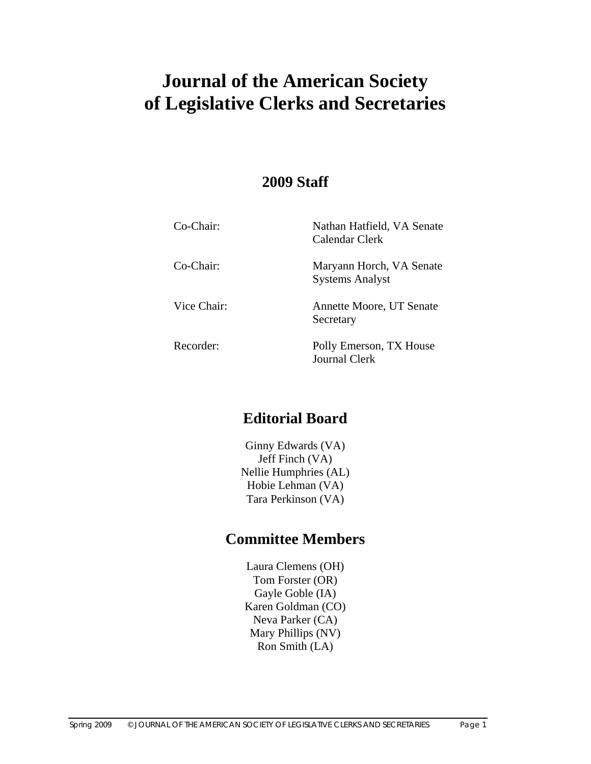# **Journal of the American Society of Legislative Clerks and Secretaries**

# **2009 Staff**

| Co-Chair:   | Nathan Hatfield, VA Senate<br>Calendar Clerk       |
|-------------|----------------------------------------------------|
| Co-Chair:   | Maryann Horch, VA Senate<br><b>Systems Analyst</b> |
| Vice Chair: | Annette Moore, UT Senate<br>Secretary              |
| Recorder:   | Polly Emerson, TX House<br><b>Journal Clerk</b>    |

# **Editorial Board**

Ginny Edwards (VA) Jeff Finch (VA) Nellie Humphries (AL) Hobie Lehman (VA) Tara Perkinson (VA)

# **Committee Members**

Laura Clemens (OH) Tom Forster (OR) Gayle Goble (IA) Karen Goldman (CO) Neva Parker (CA) Mary Phillips (NV) Ron Smith (LA)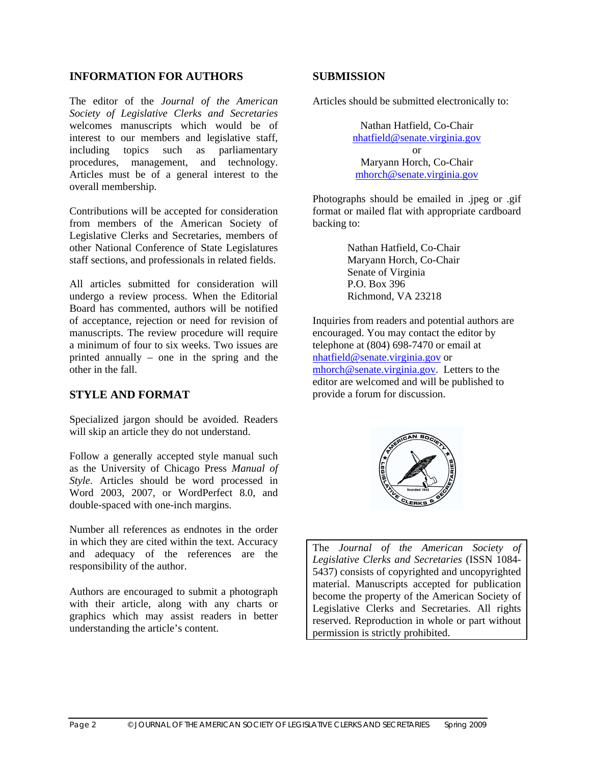#### **INFORMATION FOR AUTHORS**

The editor of the *Journal of the American Society of Legislative Clerks and Secretaries* welcomes manuscripts which would be of interest to our members and legislative staff, including topics such as parliamentary procedures, management, and technology. Articles must be of a general interest to the overall membership.

Contributions will be accepted for consideration from members of the American Society of Legislative Clerks and Secretaries, members of other National Conference of State Legislatures staff sections, and professionals in related fields.

All articles submitted for consideration will undergo a review process. When the Editorial Board has commented, authors will be notified of acceptance, rejection or need for revision of manuscripts. The review procedure will require a minimum of four to six weeks. Two issues are printed annually – one in the spring and the other in the fall.

#### **STYLE AND FORMAT**

Specialized jargon should be avoided. Readers will skip an article they do not understand.

Follow a generally accepted style manual such as the University of Chicago Press *Manual of Style*. Articles should be word processed in Word 2003, 2007, or WordPerfect 8.0, and double-spaced with one-inch margins.

Number all references as endnotes in the order in which they are cited within the text. Accuracy and adequacy of the references are the responsibility of the author.

Authors are encouraged to submit a photograph with their article, along with any charts or graphics which may assist readers in better understanding the article's content.

#### **SUBMISSION**

Articles should be submitted electronically to:

Nathan Hatfield, Co-Chair nhatfield@senate.virginia.gov or Maryann Horch, Co-Chair mhorch@senate.virginia.gov

Photographs should be emailed in .jpeg or .gif format or mailed flat with appropriate cardboard backing to:

> Nathan Hatfield, Co-Chair Maryann Horch, Co-Chair Senate of Virginia P.O. Box 396 Richmond, VA 23218

Inquiries from readers and potential authors are encouraged. You may contact the editor by telephone at (804) 698-7470 or email at nhatfield@senate.virginia.gov or mhorch@senate.virginia.gov.Letters to the editor are welcomed and will be published to provide a forum for discussion.



The *Journal of the American Society of Legislative Clerks and Secretaries* (ISSN 1084- 5437) consists of copyrighted and uncopyrighted material. Manuscripts accepted for publication become the property of the American Society of Legislative Clerks and Secretaries. All rights reserved. Reproduction in whole or part without permission is strictly prohibited.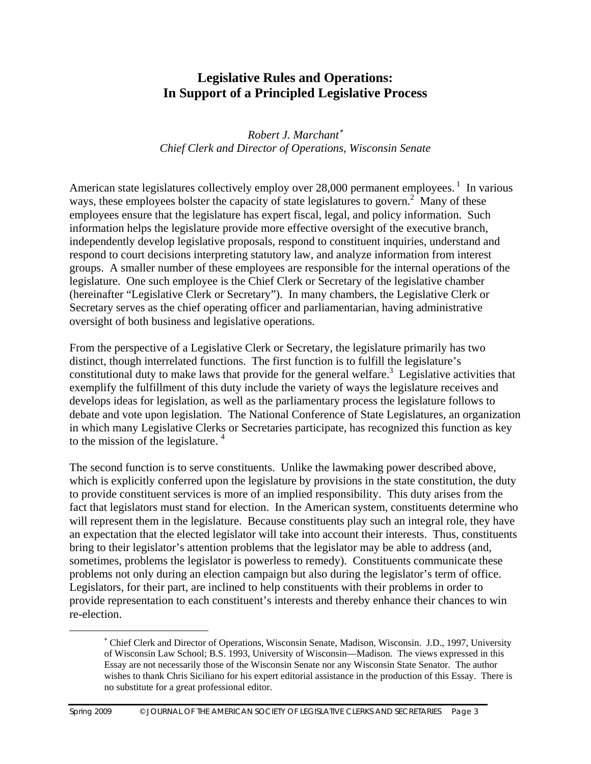# **Legislative Rules and Operations: In Support of a Principled Legislative Process**

*Robert J. Marchant*<sup>∗</sup> *Chief Clerk and Director of Operations, Wisconsin Senate* 

American state legislatures collectively employ over 28,000 permanent employees.<sup>1</sup> In various ways, these employees bolster the capacity of state legislatures to govern.<sup>2</sup> Many of these employees ensure that the legislature has expert fiscal, legal, and policy information. Such information helps the legislature provide more effective oversight of the executive branch, independently develop legislative proposals, respond to constituent inquiries, understand and respond to court decisions interpreting statutory law, and analyze information from interest groups. A smaller number of these employees are responsible for the internal operations of the legislature. One such employee is the Chief Clerk or Secretary of the legislative chamber (hereinafter "Legislative Clerk or Secretary"). In many chambers, the Legislative Clerk or Secretary serves as the chief operating officer and parliamentarian, having administrative oversight of both business and legislative operations.

From the perspective of a Legislative Clerk or Secretary, the legislature primarily has two distinct, though interrelated functions. The first function is to fulfill the legislature's constitutional duty to make laws that provide for the general welfare.<sup>3</sup> Legislative activities that exemplify the fulfillment of this duty include the variety of ways the legislature receives and develops ideas for legislation, as well as the parliamentary process the legislature follows to debate and vote upon legislation. The National Conference of State Legislatures, an organization in which many Legislative Clerks or Secretaries participate, has recognized this function as key to the mission of the legislature.  $4\overline{ }$ 

The second function is to serve constituents. Unlike the lawmaking power described above, which is explicitly conferred upon the legislature by provisions in the state constitution, the duty to provide constituent services is more of an implied responsibility. This duty arises from the fact that legislators must stand for election. In the American system, constituents determine who will represent them in the legislature. Because constituents play such an integral role, they have an expectation that the elected legislator will take into account their interests. Thus, constituents bring to their legislator's attention problems that the legislator may be able to address (and, sometimes, problems the legislator is powerless to remedy). Constituents communicate these problems not only during an election campaign but also during the legislator's term of office. Legislators, for their part, are inclined to help constituents with their problems in order to provide representation to each constituent's interests and thereby enhance their chances to win re-election.

 $\overline{a}$ 

<sup>∗</sup> Chief Clerk and Director of Operations, Wisconsin Senate, Madison, Wisconsin. J.D., 1997, University of Wisconsin Law School; B.S. 1993, University of Wisconsin—Madison. The views expressed in this Essay are not necessarily those of the Wisconsin Senate nor any Wisconsin State Senator. The author wishes to thank Chris Siciliano for his expert editorial assistance in the production of this Essay. There is no substitute for a great professional editor.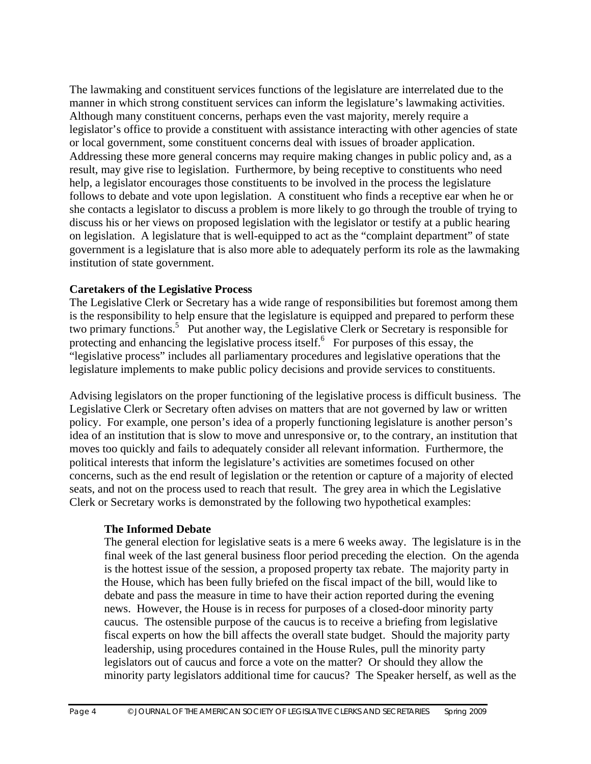The lawmaking and constituent services functions of the legislature are interrelated due to the manner in which strong constituent services can inform the legislature's lawmaking activities. Although many constituent concerns, perhaps even the vast majority, merely require a legislator's office to provide a constituent with assistance interacting with other agencies of state or local government, some constituent concerns deal with issues of broader application. Addressing these more general concerns may require making changes in public policy and, as a result, may give rise to legislation. Furthermore, by being receptive to constituents who need help, a legislator encourages those constituents to be involved in the process the legislature follows to debate and vote upon legislation. A constituent who finds a receptive ear when he or she contacts a legislator to discuss a problem is more likely to go through the trouble of trying to discuss his or her views on proposed legislation with the legislator or testify at a public hearing on legislation. A legislature that is well-equipped to act as the "complaint department" of state government is a legislature that is also more able to adequately perform its role as the lawmaking institution of state government.

#### **Caretakers of the Legislative Process**

The Legislative Clerk or Secretary has a wide range of responsibilities but foremost among them is the responsibility to help ensure that the legislature is equipped and prepared to perform these two primary functions.<sup>5</sup> Put another way, the Legislative Clerk or Secretary is responsible for protecting and enhancing the legislative process itself.<sup>6</sup> For purposes of this essay, the "legislative process" includes all parliamentary procedures and legislative operations that the legislature implements to make public policy decisions and provide services to constituents.

Advising legislators on the proper functioning of the legislative process is difficult business. The Legislative Clerk or Secretary often advises on matters that are not governed by law or written policy. For example, one person's idea of a properly functioning legislature is another person's idea of an institution that is slow to move and unresponsive or, to the contrary, an institution that moves too quickly and fails to adequately consider all relevant information. Furthermore, the political interests that inform the legislature's activities are sometimes focused on other concerns, such as the end result of legislation or the retention or capture of a majority of elected seats, and not on the process used to reach that result. The grey area in which the Legislative Clerk or Secretary works is demonstrated by the following two hypothetical examples:

#### **The Informed Debate**

The general election for legislative seats is a mere 6 weeks away. The legislature is in the final week of the last general business floor period preceding the election. On the agenda is the hottest issue of the session, a proposed property tax rebate. The majority party in the House, which has been fully briefed on the fiscal impact of the bill, would like to debate and pass the measure in time to have their action reported during the evening news. However, the House is in recess for purposes of a closed-door minority party caucus. The ostensible purpose of the caucus is to receive a briefing from legislative fiscal experts on how the bill affects the overall state budget. Should the majority party leadership, using procedures contained in the House Rules, pull the minority party legislators out of caucus and force a vote on the matter? Or should they allow the minority party legislators additional time for caucus? The Speaker herself, as well as the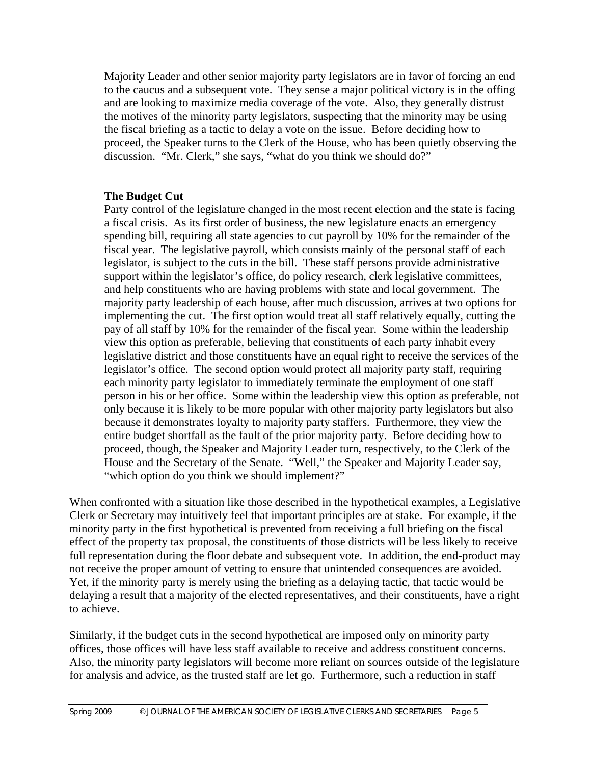Majority Leader and other senior majority party legislators are in favor of forcing an end to the caucus and a subsequent vote. They sense a major political victory is in the offing and are looking to maximize media coverage of the vote. Also, they generally distrust the motives of the minority party legislators, suspecting that the minority may be using the fiscal briefing as a tactic to delay a vote on the issue. Before deciding how to proceed, the Speaker turns to the Clerk of the House, who has been quietly observing the discussion. "Mr. Clerk," she says, "what do you think we should do?"

#### **The Budget Cut**

Party control of the legislature changed in the most recent election and the state is facing a fiscal crisis. As its first order of business, the new legislature enacts an emergency spending bill, requiring all state agencies to cut payroll by 10% for the remainder of the fiscal year. The legislative payroll, which consists mainly of the personal staff of each legislator, is subject to the cuts in the bill. These staff persons provide administrative support within the legislator's office, do policy research, clerk legislative committees, and help constituents who are having problems with state and local government. The majority party leadership of each house, after much discussion, arrives at two options for implementing the cut. The first option would treat all staff relatively equally, cutting the pay of all staff by 10% for the remainder of the fiscal year. Some within the leadership view this option as preferable, believing that constituents of each party inhabit every legislative district and those constituents have an equal right to receive the services of the legislator's office. The second option would protect all majority party staff, requiring each minority party legislator to immediately terminate the employment of one staff person in his or her office. Some within the leadership view this option as preferable, not only because it is likely to be more popular with other majority party legislators but also because it demonstrates loyalty to majority party staffers. Furthermore, they view the entire budget shortfall as the fault of the prior majority party. Before deciding how to proceed, though, the Speaker and Majority Leader turn, respectively, to the Clerk of the House and the Secretary of the Senate. "Well," the Speaker and Majority Leader say, "which option do you think we should implement?"

When confronted with a situation like those described in the hypothetical examples, a Legislative Clerk or Secretary may intuitively feel that important principles are at stake. For example, if the minority party in the first hypothetical is prevented from receiving a full briefing on the fiscal effect of the property tax proposal, the constituents of those districts will be less likely to receive full representation during the floor debate and subsequent vote. In addition, the end-product may not receive the proper amount of vetting to ensure that unintended consequences are avoided. Yet, if the minority party is merely using the briefing as a delaying tactic, that tactic would be delaying a result that a majority of the elected representatives, and their constituents, have a right to achieve.

Similarly, if the budget cuts in the second hypothetical are imposed only on minority party offices, those offices will have less staff available to receive and address constituent concerns. Also, the minority party legislators will become more reliant on sources outside of the legislature for analysis and advice, as the trusted staff are let go. Furthermore, such a reduction in staff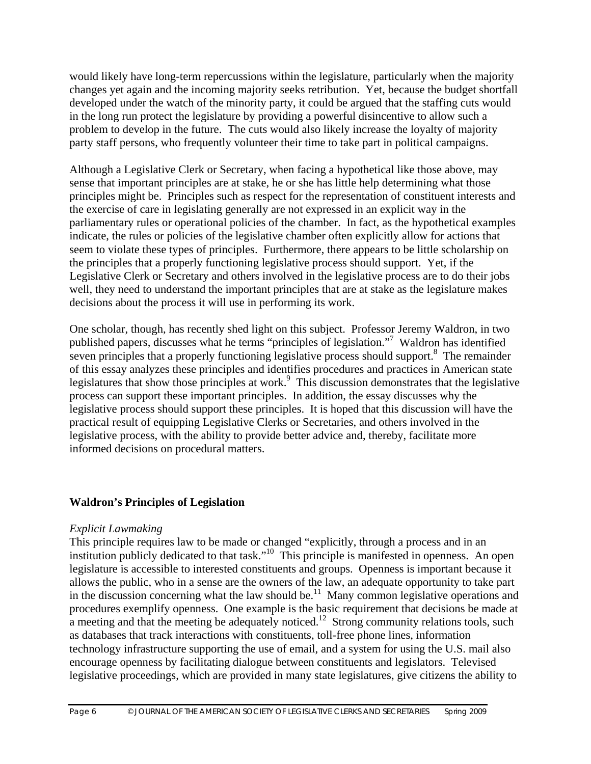would likely have long-term repercussions within the legislature, particularly when the majority changes yet again and the incoming majority seeks retribution. Yet, because the budget shortfall developed under the watch of the minority party, it could be argued that the staffing cuts would in the long run protect the legislature by providing a powerful disincentive to allow such a problem to develop in the future. The cuts would also likely increase the loyalty of majority party staff persons, who frequently volunteer their time to take part in political campaigns.

Although a Legislative Clerk or Secretary, when facing a hypothetical like those above, may sense that important principles are at stake, he or she has little help determining what those principles might be. Principles such as respect for the representation of constituent interests and the exercise of care in legislating generally are not expressed in an explicit way in the parliamentary rules or operational policies of the chamber. In fact, as the hypothetical examples indicate, the rules or policies of the legislative chamber often explicitly allow for actions that seem to violate these types of principles. Furthermore, there appears to be little scholarship on the principles that a properly functioning legislative process should support. Yet, if the Legislative Clerk or Secretary and others involved in the legislative process are to do their jobs well, they need to understand the important principles that are at stake as the legislature makes decisions about the process it will use in performing its work.

One scholar, though, has recently shed light on this subject. Professor Jeremy Waldron, in two published papers, discusses what he terms "principles of legislation."7 Waldron has identified seven principles that a properly functioning legislative process should support.<sup>8</sup> The remainder of this essay analyzes these principles and identifies procedures and practices in American state legislatures that show those principles at work.<sup>9</sup> This discussion demonstrates that the legislative process can support these important principles. In addition, the essay discusses why the legislative process should support these principles. It is hoped that this discussion will have the practical result of equipping Legislative Clerks or Secretaries, and others involved in the legislative process, with the ability to provide better advice and, thereby, facilitate more informed decisions on procedural matters.

#### **Waldron's Principles of Legislation**

#### *Explicit Lawmaking*

This principle requires law to be made or changed "explicitly, through a process and in an institution publicly dedicated to that task."10 This principle is manifested in openness. An open legislature is accessible to interested constituents and groups. Openness is important because it allows the public, who in a sense are the owners of the law, an adequate opportunity to take part in the discussion concerning what the law should be.<sup>11</sup> Many common legislative operations and procedures exemplify openness. One example is the basic requirement that decisions be made at a meeting and that the meeting be adequately noticed.<sup>12</sup> Strong community relations tools, such as databases that track interactions with constituents, toll-free phone lines, information technology infrastructure supporting the use of email, and a system for using the U.S. mail also encourage openness by facilitating dialogue between constituents and legislators. Televised legislative proceedings, which are provided in many state legislatures, give citizens the ability to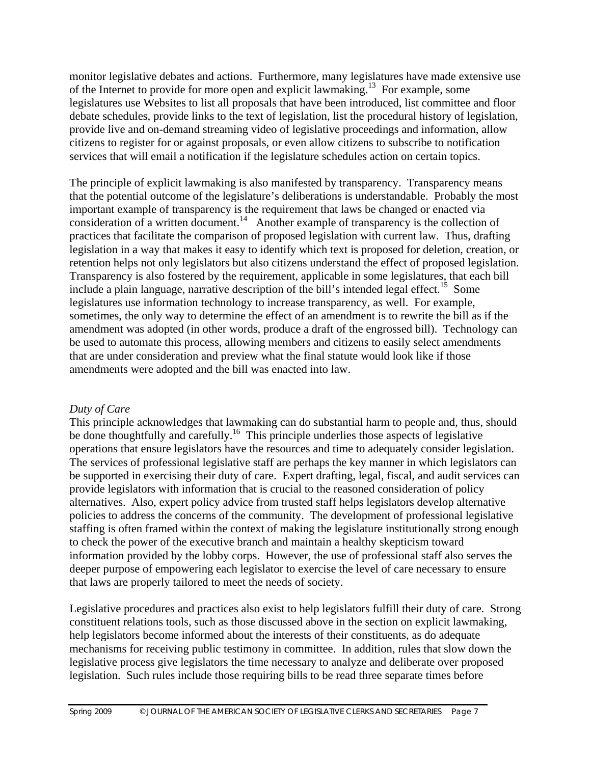monitor legislative debates and actions. Furthermore, many legislatures have made extensive use of the Internet to provide for more open and explicit lawmaking.13 For example, some legislatures use Websites to list all proposals that have been introduced, list committee and floor debate schedules, provide links to the text of legislation, list the procedural history of legislation, provide live and on-demand streaming video of legislative proceedings and information, allow citizens to register for or against proposals, or even allow citizens to subscribe to notification services that will email a notification if the legislature schedules action on certain topics.

The principle of explicit lawmaking is also manifested by transparency. Transparency means that the potential outcome of the legislature's deliberations is understandable. Probably the most important example of transparency is the requirement that laws be changed or enacted via consideration of a written document.<sup>14</sup> Another example of transparency is the collection of practices that facilitate the comparison of proposed legislation with current law. Thus, drafting legislation in a way that makes it easy to identify which text is proposed for deletion, creation, or retention helps not only legislators but also citizens understand the effect of proposed legislation. Transparency is also fostered by the requirement, applicable in some legislatures, that each bill include a plain language, narrative description of the bill's intended legal effect.<sup>15</sup> Some legislatures use information technology to increase transparency, as well. For example, sometimes, the only way to determine the effect of an amendment is to rewrite the bill as if the amendment was adopted (in other words, produce a draft of the engrossed bill). Technology can be used to automate this process, allowing members and citizens to easily select amendments that are under consideration and preview what the final statute would look like if those amendments were adopted and the bill was enacted into law.

#### *Duty of Care*

This principle acknowledges that lawmaking can do substantial harm to people and, thus, should be done thoughtfully and carefully.<sup>16</sup> This principle underlies those aspects of legislative operations that ensure legislators have the resources and time to adequately consider legislation. The services of professional legislative staff are perhaps the key manner in which legislators can be supported in exercising their duty of care. Expert drafting, legal, fiscal, and audit services can provide legislators with information that is crucial to the reasoned consideration of policy alternatives. Also, expert policy advice from trusted staff helps legislators develop alternative policies to address the concerns of the community. The development of professional legislative staffing is often framed within the context of making the legislature institutionally strong enough to check the power of the executive branch and maintain a healthy skepticism toward information provided by the lobby corps. However, the use of professional staff also serves the deeper purpose of empowering each legislator to exercise the level of care necessary to ensure that laws are properly tailored to meet the needs of society.

Legislative procedures and practices also exist to help legislators fulfill their duty of care. Strong constituent relations tools, such as those discussed above in the section on explicit lawmaking, help legislators become informed about the interests of their constituents, as do adequate mechanisms for receiving public testimony in committee. In addition, rules that slow down the legislative process give legislators the time necessary to analyze and deliberate over proposed legislation. Such rules include those requiring bills to be read three separate times before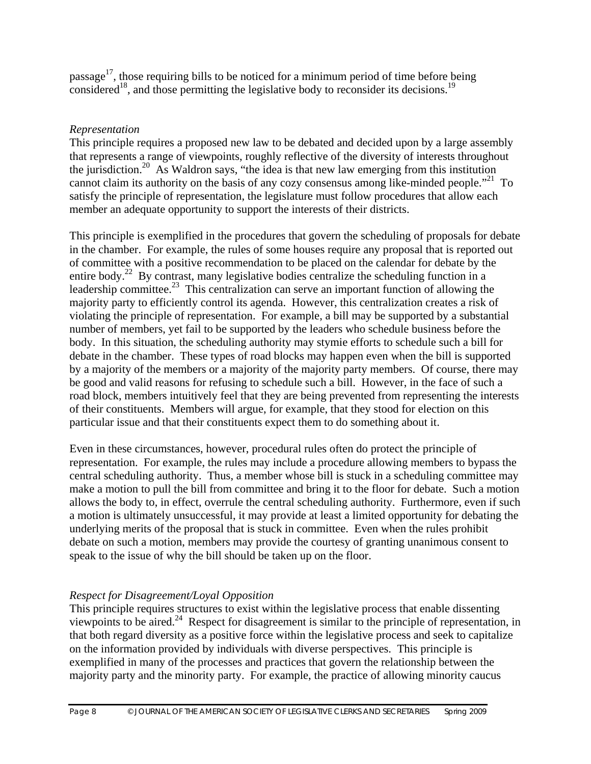passage<sup>17</sup>, those requiring bills to be noticed for a minimum period of time before being considered<sup>18</sup>, and those permitting the legislative body to reconsider its decisions.<sup>19</sup>

### *Representation*

This principle requires a proposed new law to be debated and decided upon by a large assembly that represents a range of viewpoints, roughly reflective of the diversity of interests throughout the jurisdiction.<sup>20</sup> As Waldron says, "the idea is that new law emerging from this institution cannot claim its authority on the basis of any cozy consensus among like-minded people.<sup> $21$ </sup> To satisfy the principle of representation, the legislature must follow procedures that allow each member an adequate opportunity to support the interests of their districts.

This principle is exemplified in the procedures that govern the scheduling of proposals for debate in the chamber. For example, the rules of some houses require any proposal that is reported out of committee with a positive recommendation to be placed on the calendar for debate by the entire body.<sup>22</sup> By contrast, many legislative bodies centralize the scheduling function in a leadership committee.<sup>23</sup> This centralization can serve an important function of allowing the majority party to efficiently control its agenda. However, this centralization creates a risk of violating the principle of representation. For example, a bill may be supported by a substantial number of members, yet fail to be supported by the leaders who schedule business before the body. In this situation, the scheduling authority may stymie efforts to schedule such a bill for debate in the chamber. These types of road blocks may happen even when the bill is supported by a majority of the members or a majority of the majority party members. Of course, there may be good and valid reasons for refusing to schedule such a bill. However, in the face of such a road block, members intuitively feel that they are being prevented from representing the interests of their constituents. Members will argue, for example, that they stood for election on this particular issue and that their constituents expect them to do something about it.

Even in these circumstances, however, procedural rules often do protect the principle of representation. For example, the rules may include a procedure allowing members to bypass the central scheduling authority. Thus, a member whose bill is stuck in a scheduling committee may make a motion to pull the bill from committee and bring it to the floor for debate. Such a motion allows the body to, in effect, overrule the central scheduling authority. Furthermore, even if such a motion is ultimately unsuccessful, it may provide at least a limited opportunity for debating the underlying merits of the proposal that is stuck in committee. Even when the rules prohibit debate on such a motion, members may provide the courtesy of granting unanimous consent to speak to the issue of why the bill should be taken up on the floor.

# *Respect for Disagreement/Loyal Opposition*

This principle requires structures to exist within the legislative process that enable dissenting viewpoints to be aired.24 Respect for disagreement is similar to the principle of representation, in that both regard diversity as a positive force within the legislative process and seek to capitalize on the information provided by individuals with diverse perspectives. This principle is exemplified in many of the processes and practices that govern the relationship between the majority party and the minority party. For example, the practice of allowing minority caucus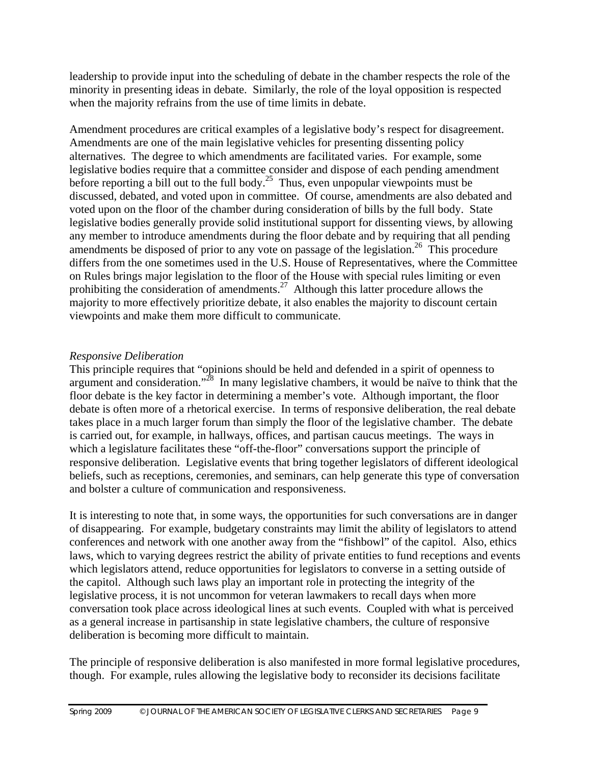leadership to provide input into the scheduling of debate in the chamber respects the role of the minority in presenting ideas in debate. Similarly, the role of the loyal opposition is respected when the majority refrains from the use of time limits in debate.

Amendment procedures are critical examples of a legislative body's respect for disagreement. Amendments are one of the main legislative vehicles for presenting dissenting policy alternatives. The degree to which amendments are facilitated varies. For example, some legislative bodies require that a committee consider and dispose of each pending amendment before reporting a bill out to the full body.<sup>25</sup> Thus, even unpopular viewpoints must be discussed, debated, and voted upon in committee. Of course, amendments are also debated and voted upon on the floor of the chamber during consideration of bills by the full body. State legislative bodies generally provide solid institutional support for dissenting views, by allowing any member to introduce amendments during the floor debate and by requiring that all pending amendments be disposed of prior to any vote on passage of the legislation.<sup>26</sup> This procedure differs from the one sometimes used in the U.S. House of Representatives, where the Committee on Rules brings major legislation to the floor of the House with special rules limiting or even prohibiting the consideration of amendments.<sup>27</sup> Although this latter procedure allows the majority to more effectively prioritize debate, it also enables the majority to discount certain viewpoints and make them more difficult to communicate.

#### *Responsive Deliberation*

This principle requires that "opinions should be held and defended in a spirit of openness to argument and consideration."<sup>28</sup> In many legislative chambers, it would be naïve to think that the floor debate is the key factor in determining a member's vote. Although important, the floor debate is often more of a rhetorical exercise. In terms of responsive deliberation, the real debate takes place in a much larger forum than simply the floor of the legislative chamber. The debate is carried out, for example, in hallways, offices, and partisan caucus meetings. The ways in which a legislature facilitates these "off-the-floor" conversations support the principle of responsive deliberation. Legislative events that bring together legislators of different ideological beliefs, such as receptions, ceremonies, and seminars, can help generate this type of conversation and bolster a culture of communication and responsiveness.

It is interesting to note that, in some ways, the opportunities for such conversations are in danger of disappearing. For example, budgetary constraints may limit the ability of legislators to attend conferences and network with one another away from the "fishbowl" of the capitol. Also, ethics laws, which to varying degrees restrict the ability of private entities to fund receptions and events which legislators attend, reduce opportunities for legislators to converse in a setting outside of the capitol. Although such laws play an important role in protecting the integrity of the legislative process, it is not uncommon for veteran lawmakers to recall days when more conversation took place across ideological lines at such events. Coupled with what is perceived as a general increase in partisanship in state legislative chambers, the culture of responsive deliberation is becoming more difficult to maintain.

The principle of responsive deliberation is also manifested in more formal legislative procedures, though. For example, rules allowing the legislative body to reconsider its decisions facilitate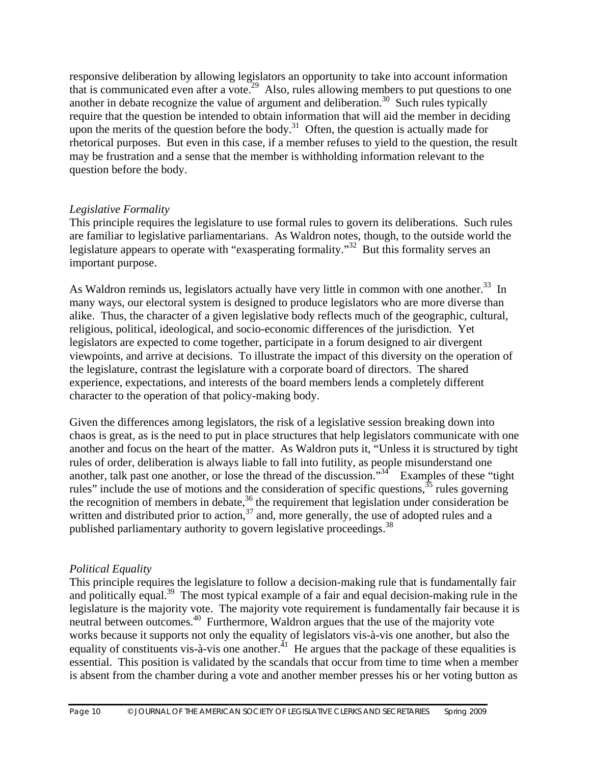responsive deliberation by allowing legislators an opportunity to take into account information that is communicated even after a vote.<sup>29</sup> Also, rules allowing members to put questions to one another in debate recognize the value of argument and deliberation.<sup>30</sup> Such rules typically require that the question be intended to obtain information that will aid the member in deciding upon the merits of the question before the body.<sup>31</sup> Often, the question is actually made for rhetorical purposes. But even in this case, if a member refuses to yield to the question, the result may be frustration and a sense that the member is withholding information relevant to the question before the body.

#### *Legislative Formality*

This principle requires the legislature to use formal rules to govern its deliberations. Such rules are familiar to legislative parliamentarians. As Waldron notes, though, to the outside world the legislature appears to operate with "exasperating formality."<sup>32</sup> But this formality serves an important purpose.

As Waldron reminds us, legislators actually have very little in common with one another.<sup>33</sup> In many ways, our electoral system is designed to produce legislators who are more diverse than alike. Thus, the character of a given legislative body reflects much of the geographic, cultural, religious, political, ideological, and socio-economic differences of the jurisdiction. Yet legislators are expected to come together, participate in a forum designed to air divergent viewpoints, and arrive at decisions. To illustrate the impact of this diversity on the operation of the legislature, contrast the legislature with a corporate board of directors. The shared experience, expectations, and interests of the board members lends a completely different character to the operation of that policy-making body.

Given the differences among legislators, the risk of a legislative session breaking down into chaos is great, as is the need to put in place structures that help legislators communicate with one another and focus on the heart of the matter. As Waldron puts it, "Unless it is structured by tight rules of order, deliberation is always liable to fall into futility, as people misunderstand one another, talk past one another, or lose the thread of the discussion."<sup>34</sup> Examples of these "tight" rules" include the use of motions and the consideration of specific questions,  $35$  rules governing the recognition of members in debate,  $36$  the requirement that legislation under consideration be written and distributed prior to action,<sup>37</sup> and, more generally, the use of adopted rules and a published parliamentary authority to govern legislative proceedings.<sup>38</sup>

#### *Political Equality*

This principle requires the legislature to follow a decision-making rule that is fundamentally fair and politically equal.<sup>39</sup> The most typical example of a fair and equal decision-making rule in the legislature is the majority vote. The majority vote requirement is fundamentally fair because it is neutral between outcomes.<sup>40</sup> Furthermore, Waldron argues that the use of the majority vote works because it supports not only the equality of legislators vis-à-vis one another, but also the equality of constituents vis-à-vis one another.<sup> $41$ </sup> He argues that the package of these equalities is essential. This position is validated by the scandals that occur from time to time when a member is absent from the chamber during a vote and another member presses his or her voting button as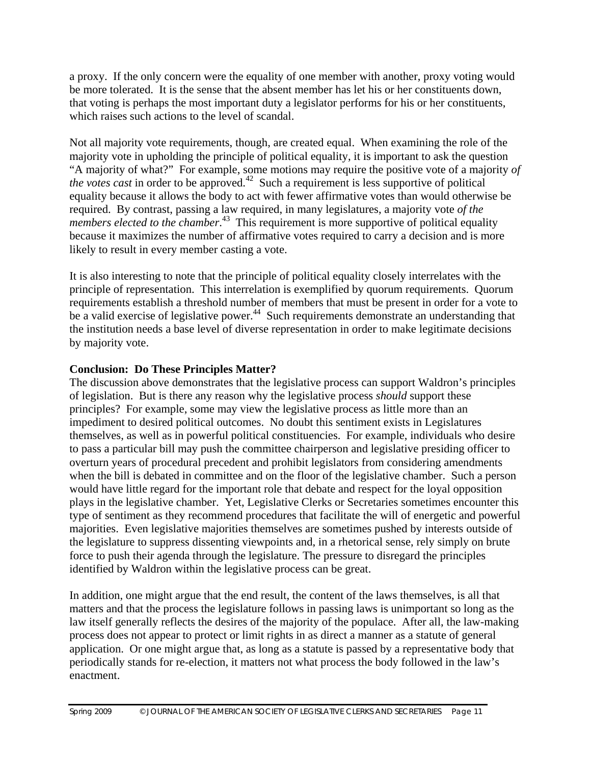a proxy. If the only concern were the equality of one member with another, proxy voting would be more tolerated. It is the sense that the absent member has let his or her constituents down, that voting is perhaps the most important duty a legislator performs for his or her constituents, which raises such actions to the level of scandal.

Not all majority vote requirements, though, are created equal. When examining the role of the majority vote in upholding the principle of political equality, it is important to ask the question "A majority of what?" For example, some motions may require the positive vote of a majority *of the votes cast* in order to be approved.<sup>42</sup> Such a requirement is less supportive of political equality because it allows the body to act with fewer affirmative votes than would otherwise be required. By contrast, passing a law required, in many legislatures, a majority vote *of the members elected to the chamber*. 43 This requirement is more supportive of political equality because it maximizes the number of affirmative votes required to carry a decision and is more likely to result in every member casting a vote.

It is also interesting to note that the principle of political equality closely interrelates with the principle of representation. This interrelation is exemplified by quorum requirements. Quorum requirements establish a threshold number of members that must be present in order for a vote to be a valid exercise of legislative power.<sup>44</sup> Such requirements demonstrate an understanding that the institution needs a base level of diverse representation in order to make legitimate decisions by majority vote.

#### **Conclusion: Do These Principles Matter?**

The discussion above demonstrates that the legislative process can support Waldron's principles of legislation. But is there any reason why the legislative process *should* support these principles? For example, some may view the legislative process as little more than an impediment to desired political outcomes. No doubt this sentiment exists in Legislatures themselves, as well as in powerful political constituencies. For example, individuals who desire to pass a particular bill may push the committee chairperson and legislative presiding officer to overturn years of procedural precedent and prohibit legislators from considering amendments when the bill is debated in committee and on the floor of the legislative chamber. Such a person would have little regard for the important role that debate and respect for the loyal opposition plays in the legislative chamber. Yet, Legislative Clerks or Secretaries sometimes encounter this type of sentiment as they recommend procedures that facilitate the will of energetic and powerful majorities. Even legislative majorities themselves are sometimes pushed by interests outside of the legislature to suppress dissenting viewpoints and, in a rhetorical sense, rely simply on brute force to push their agenda through the legislature. The pressure to disregard the principles identified by Waldron within the legislative process can be great.

In addition, one might argue that the end result, the content of the laws themselves, is all that matters and that the process the legislature follows in passing laws is unimportant so long as the law itself generally reflects the desires of the majority of the populace. After all, the law-making process does not appear to protect or limit rights in as direct a manner as a statute of general application. Or one might argue that, as long as a statute is passed by a representative body that periodically stands for re-election, it matters not what process the body followed in the law's enactment.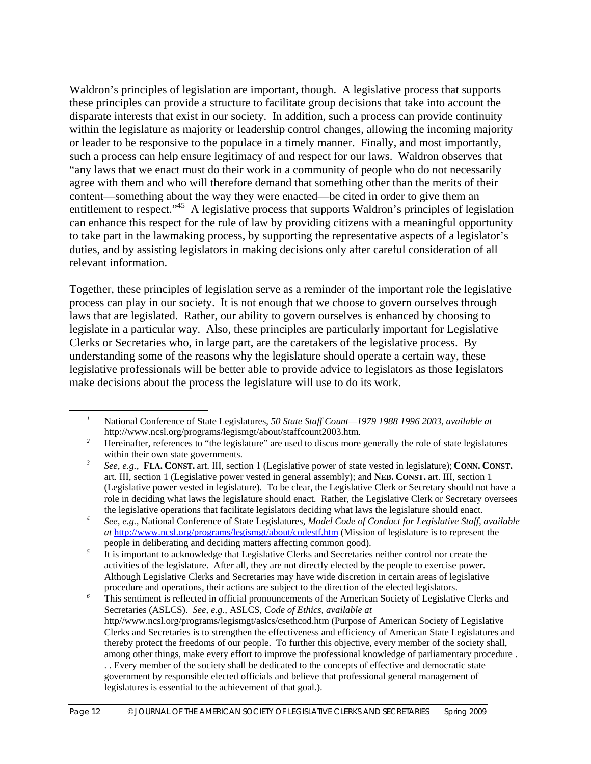Waldron's principles of legislation are important, though. A legislative process that supports these principles can provide a structure to facilitate group decisions that take into account the disparate interests that exist in our society. In addition, such a process can provide continuity within the legislature as majority or leadership control changes, allowing the incoming majority or leader to be responsive to the populace in a timely manner. Finally, and most importantly, such a process can help ensure legitimacy of and respect for our laws. Waldron observes that "any laws that we enact must do their work in a community of people who do not necessarily agree with them and who will therefore demand that something other than the merits of their content—something about the way they were enacted—be cited in order to give them an entitlement to respect."<sup>45</sup> A legislative process that supports Waldron's principles of legislation can enhance this respect for the rule of law by providing citizens with a meaningful opportunity to take part in the lawmaking process, by supporting the representative aspects of a legislator's duties, and by assisting legislators in making decisions only after careful consideration of all relevant information.

Together, these principles of legislation serve as a reminder of the important role the legislative process can play in our society. It is not enough that we choose to govern ourselves through laws that are legislated. Rather, our ability to govern ourselves is enhanced by choosing to legislate in a particular way. Also, these principles are particularly important for Legislative Clerks or Secretaries who, in large part, are the caretakers of the legislative process. By understanding some of the reasons why the legislature should operate a certain way, these legislative professionals will be better able to provide advice to legislators as those legislators make decisions about the process the legislature will use to do its work.

 $\overline{a}$ 

<sup>6</sup> This sentiment is reflected in official pronouncements of the American Society of Legislative Clerks and Secretaries (ASLCS). *See, e.g.,* ASLCS, *Code of Ethics, available at*  http//www.ncsl.org/programs/legismgt/aslcs/csethcod.htm (Purpose of American Society of Legislative Clerks and Secretaries is to strengthen the effectiveness and efficiency of American State Legislatures and thereby protect the freedoms of our people. To further this objective, every member of the society shall, among other things, make every effort to improve the professional knowledge of parliamentary procedure . . . Every member of the society shall be dedicated to the concepts of effective and democratic state government by responsible elected officials and believe that professional general management of legislatures is essential to the achievement of that goal.).

*<sup>1</sup>* National Conference of State Legislatures, *50 State Staff Count—1979 1988 1996 2003, available at*  http://www.ncsl.org/programs/legismgt/about/staffcount2003.htm.

<sup>&</sup>lt;sup>2</sup> Hereinafter, references to "the legislature" are used to discus more generally the role of state legislatures within their own state governments.

*<sup>3</sup> See, e.g.,* **FLA. CONST.** art. III, section 1 (Legislative power of state vested in legislature); **CONN. CONST.** art. III, section 1 (Legislative power vested in general assembly); and **NEB. CONST.** art. III, section 1 (Legislative power vested in legislature). To be clear, the Legislative Clerk or Secretary should not have a role in deciding what laws the legislature should enact. Rather, the Legislative Clerk or Secretary oversees the legislative operations that facilitate legislators deciding what laws the legislature should enact.

*<sup>4</sup> See, e.g.,* National Conference of State Legislatures, *Model Code of Conduct for Legislative Staff, available at* http://www.ncsl.org/programs/legismgt/about/codestf.htm (Mission of legislature is to represent the people in deliberating and deciding matters affecting common good).

<sup>&</sup>lt;sup>5</sup> It is important to acknowledge that Legislative Clerks and Secretaries neither control nor create the activities of the legislature. After all, they are not directly elected by the people to exercise power. Although Legislative Clerks and Secretaries may have wide discretion in certain areas of legislative procedure and operations, their actions are subject to the direction of the elected legislators.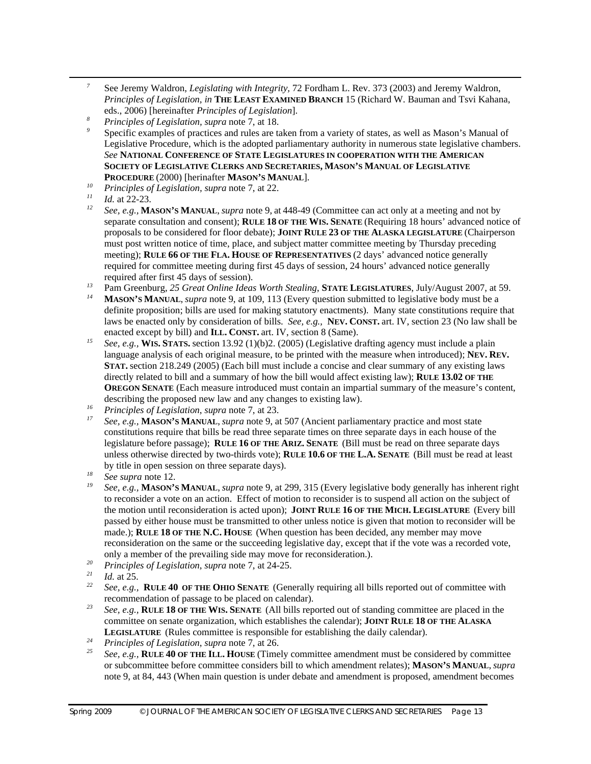- *<sup>7</sup>* See Jeremy Waldron, *Legislating with Integrity,* 72 Fordham L. Rev. 373 (2003) and Jeremy Waldron, *Principles of Legislation, in* **THE LEAST EXAMINED BRANCH** 15 (Richard W. Bauman and Tsvi Kahana, eds., 2006) [hereinafter *Principles of Legislation*].
- *<sup>8</sup> Principles of Legislation, supra* note 7, at 18.
- Specific examples of practices and rules are taken from a variety of states, as well as Mason's Manual of Legislative Procedure, which is the adopted parliamentary authority in numerous state legislative chambers. *See* **NATIONAL CONFERENCE OF STATE LEGISLATURES IN COOPERATION WITH THE AMERICAN SOCIETY OF LEGISLATIVE CLERKS AND SECRETARIES, MASON'S MANUAL OF LEGISLATIVE PROCEDURE** (2000) [herinafter **MASON'S MANUAL**].
- *<sup>10</sup> Principles of Legislation, supra* note 7, at 22.
- $\frac{11}{12}$  *Id.* at 22-23.

 $\overline{a}$ 

- *<sup>12</sup> See, e.g.,* **MASON'S MANUAL**, *supra* note 9, at 448-49 (Committee can act only at a meeting and not by separate consultation and consent); **RULE 18 OF THE WIS. SENATE** (Requiring 18 hours' advanced notice of proposals to be considered for floor debate); **JOINT RULE 23 OF THE ALASKA LEGISLATURE** (Chairperson must post written notice of time, place, and subject matter committee meeting by Thursday preceding meeting); **RULE 66 OF THE FLA. HOUSE OF REPRESENTATIVES** (2 days' advanced notice generally required for committee meeting during first 45 days of session, 24 hours' advanced notice generally required after first 45 days of session).
- <sup>13</sup> Pam Greenburg, 25 Great Online Ideas Worth Stealing, **STATE LEGISLATURES**, July/August 2007, at 59.
- *<sup>14</sup>* **MASON'S MANUAL**, *supra* note 9, at 109, 113 (Every question submitted to legislative body must be a definite proposition; bills are used for making statutory enactments). Many state constitutions require that laws be enacted only by consideration of bills. *See, e.g.,* **NEV. CONST.** art. IV, section 23 (No law shall be enacted except by bill) and **ILL. CONST.** art. IV, section 8 (Same).
- *<sup>15</sup> See, e.g.,* **WIS. STATS.** section 13.92 (1)(b)2. (2005) (Legislative drafting agency must include a plain language analysis of each original measure, to be printed with the measure when introduced); **NEV. REV. STAT.** section 218.249 (2005) (Each bill must include a concise and clear summary of any existing laws directly related to bill and a summary of how the bill would affect existing law); **RULE 13.02 OF THE OREGON SENATE** (Each measure introduced must contain an impartial summary of the measure's content, describing the proposed new law and any changes to existing law).
- *<sup>16</sup> Principles of Legislation*, *supra* note 7, at 23.
- *<sup>17</sup> See, e.g.,* **MASON'S MANUAL**, *supra* note 9, at 507 (Ancient parliamentary practice and most state constitutions require that bills be read three separate times on three separate days in each house of the legislature before passage); **RULE 16 OF THE ARIZ. SENATE** (Bill must be read on three separate days unless otherwise directed by two-thirds vote); **RULE 10.6 OF THE L.A. SENATE** (Bill must be read at least by title in open session on three separate days).
- *<sup>18</sup> See supra* note 12.
- *<sup>19</sup> See, e.g.,* **MASON'S MANUAL**, *supra* note 9, at 299, 315 (Every legislative body generally has inherent right to reconsider a vote on an action. Effect of motion to reconsider is to suspend all action on the subject of the motion until reconsideration is acted upon); **JOINT RULE 16 OF THE MICH. LEGISLATURE** (Every bill passed by either house must be transmitted to other unless notice is given that motion to reconsider will be made.); **RULE 18 OF THE N.C. HOUSE** (When question has been decided, any member may move reconsideration on the same or the succeeding legislative day, except that if the vote was a recorded vote, only a member of the prevailing side may move for reconsideration.).
- *<sup>20</sup> Principles of Legislation*, *supra* note 7, at 24-25.
- $\frac{21}{22}$  *Id.* at 25.
- *<sup>22</sup> See, e.g.,* **RULE 40 OF THE OHIO SENATE** (Generally requiring all bills reported out of committee with recommendation of passage to be placed on calendar).
- *<sup>23</sup> See, e.g.,* **RULE 18 OF THE WIS. SENATE** (All bills reported out of standing committee are placed in the committee on senate organization, which establishes the calendar); **JOINT RULE 18 OF THE ALASKA LEGISLATURE** (Rules committee is responsible for establishing the daily calendar).
- *<sup>24</sup> Principles of Legislation*, *supra* note 7, at 26.
- *<sup>25</sup> See, e.g.,* **RULE 40 OF THE ILL. HOUSE** (Timely committee amendment must be considered by committee or subcommittee before committee considers bill to which amendment relates); **MASON'S MANUAL**, *supra* note 9, at 84, 443 (When main question is under debate and amendment is proposed, amendment becomes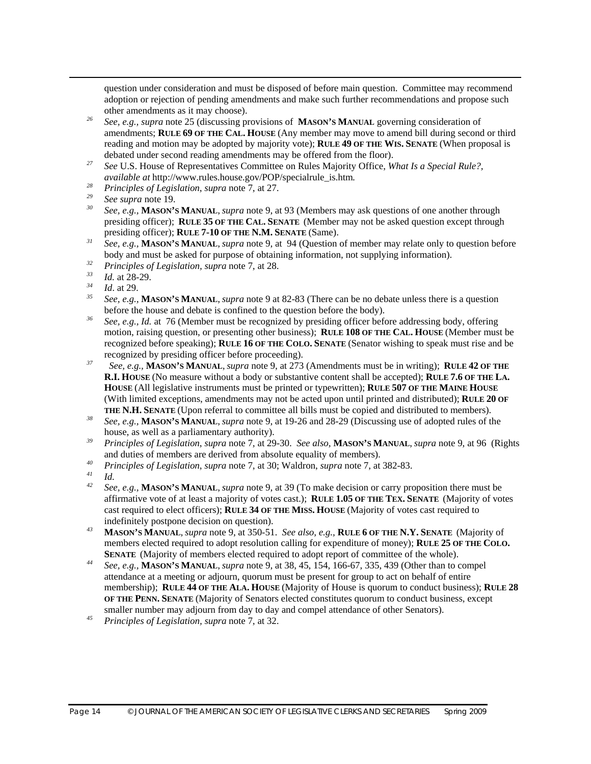question under consideration and must be disposed of before main question. Committee may recommend adoption or rejection of pending amendments and make such further recommendations and propose such other amendments as it may choose).

- *<sup>26</sup> See, e.g., supra* note 25 (discussing provisions of **MASON'S MANUAL** governing consideration of amendments; **RULE 69 OF THE CAL. HOUSE** (Any member may move to amend bill during second or third reading and motion may be adopted by majority vote); **RULE 49 OF THE WIS. SENATE** (When proposal is debated under second reading amendments may be offered from the floor).
- *<sup>27</sup> See* U.S. House of Representatives Committee on Rules Majority Office, *What Is a Special Rule?, available at* http://www.rules.house.gov/POP/specialrule\_is.htm*. 28 Principles of Legislation*, *supra* note 7, at 27.
- 
- *<sup>29</sup> See supra* note 19.
- *<sup>30</sup> See, e.g.,* **MASON'S MANUAL**, *supra* note 9, at 93 (Members may ask questions of one another through presiding officer); **RULE 35 OF THE CAL. SENATE** (Member may not be asked question except through presiding officer); **RULE 7-10 OF THE N.M. SENATE** (Same).
- *<sup>31</sup> See, e.g.,* **MASON'S MANUAL**, *supra* note 9, at 94 (Question of member may relate only to question before body and must be asked for purpose of obtaining information, not supplying information).
- *<sup>32</sup> Principles of Legislation, supra* note 7, at 28.

- $\frac{34}{35}$  *Id.* at 29.
- *<sup>35</sup> See, e.g.,* **MASON'S MANUAL**, *supra* note 9 at 82-83 (There can be no debate unless there is a question before the house and debate is confined to the question before the body).
- *<sup>36</sup> See, e.g., Id.* at 76 (Member must be recognized by presiding officer before addressing body, offering motion, raising question, or presenting other business); **RULE 108 OF THE CAL. HOUSE** (Member must be recognized before speaking); **RULE 16 OF THE COLO. SENATE** (Senator wishing to speak must rise and be recognized by presiding officer before proceeding).
- *<sup>37</sup> See, e.g.,* **MASON'S MANUAL**, *supra* note 9, at 273 (Amendments must be in writing); **RULE 42 OF THE R.I. HOUSE** (No measure without a body or substantive content shall be accepted); **RULE 7.6 OF THE LA. HOUSE** (All legislative instruments must be printed or typewritten); **RULE 507 OF THE MAINE HOUSE** (With limited exceptions, amendments may not be acted upon until printed and distributed); **RULE 20 OF THE N.H. SENATE** (Upon referral to committee all bills must be copied and distributed to members).
- *<sup>38</sup> See, e.g.,* **MASON'S MANUAL**, *supra* note 9, at 19-26 and 28-29 (Discussing use of adopted rules of the house, as well as a parliamentary authority).
- *<sup>39</sup> Principles of Legislation*, *supra* note 7, at 29-30. *See also,* **MASON'S MANUAL**, *supra* note 9, at 96 (Rights and duties of members are derived from absolute equality of members).
- *<sup>40</sup> Principles of Legislation*, *supra* note 7, at 30; Waldron, *supra* note 7, at 382-83.
- *<sup>41</sup> Id. 42 See, e.g.,* **MASON'S MANUAL**, *supra* note 9, at 39 (To make decision or carry proposition there must be affirmative vote of at least a majority of votes cast.); **RULE 1.05 OF THE TEX. SENATE** (Majority of votes cast required to elect officers); **RULE 34 OF THE MISS. HOUSE** (Majority of votes cast required to indefinitely postpone decision on question).
- *<sup>43</sup>* **MASON'S MANUAL**, *supra* note 9, at 350-51. *See also, e.g.,* **RULE 6 OF THE N.Y. SENATE** (Majority of members elected required to adopt resolution calling for expenditure of money); **RULE 25 OF THE COLO. SENATE** (Majority of members elected required to adopt report of committee of the whole).
- *<sup>44</sup> See, e.g.,* **MASON'S MANUAL**, *supra* note 9, at 38, 45, 154, 166-67, 335, 439 (Other than to compel attendance at a meeting or adjourn, quorum must be present for group to act on behalf of entire membership); **RULE 44 OF THE ALA. HOUSE** (Majority of House is quorum to conduct business); **RULE 28 OF THE PENN. SENATE** (Majority of Senators elected constitutes quorum to conduct business, except smaller number may adjourn from day to day and compel attendance of other Senators).
- *<sup>45</sup> Principles of Legislation, supra* note 7, at 32.

 $\frac{33}{34}$  *Id.* at 28-29.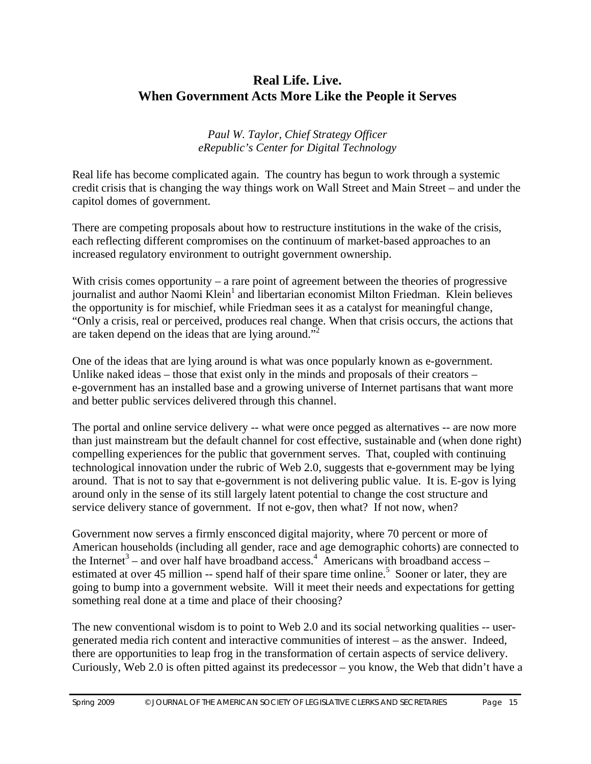# **Real Life. Live. When Government Acts More Like the People it Serves**

*Paul W. Taylor, Chief Strategy Officer eRepublic's Center for Digital Technology* 

Real life has become complicated again. The country has begun to work through a systemic credit crisis that is changing the way things work on Wall Street and Main Street – and under the capitol domes of government.

There are competing proposals about how to restructure institutions in the wake of the crisis, each reflecting different compromises on the continuum of market-based approaches to an increased regulatory environment to outright government ownership.

With crisis comes opportunity – a rare point of agreement between the theories of progressive journalist and author Naomi Klein<sup>1</sup> and libertarian economist Milton Friedman. Klein believes the opportunity is for mischief, while Friedman sees it as a catalyst for meaningful change, "Only a crisis, real or perceived, produces real change. When that crisis occurs, the actions that are taken depend on the ideas that are lying around."<sup>2</sup>

One of the ideas that are lying around is what was once popularly known as e-government. Unlike naked ideas – those that exist only in the minds and proposals of their creators – e-government has an installed base and a growing universe of Internet partisans that want more and better public services delivered through this channel.

The portal and online service delivery -- what were once pegged as alternatives -- are now more than just mainstream but the default channel for cost effective, sustainable and (when done right) compelling experiences for the public that government serves. That, coupled with continuing technological innovation under the rubric of Web 2.0, suggests that e-government may be lying around. That is not to say that e-government is not delivering public value. It is. E-gov is lying around only in the sense of its still largely latent potential to change the cost structure and service delivery stance of government. If not e-gov, then what? If not now, when?

Government now serves a firmly ensconced digital majority, where 70 percent or more of American households (including all gender, race and age demographic cohorts) are connected to the Internet<sup>3</sup> – and over half have broadband access.<sup>4</sup> Americans with broadband access – estimated at over 45 million -- spend half of their spare time online.<sup>5</sup> Sooner or later, they are going to bump into a government website. Will it meet their needs and expectations for getting something real done at a time and place of their choosing?

The new conventional wisdom is to point to Web 2.0 and its social networking qualities -- usergenerated media rich content and interactive communities of interest – as the answer. Indeed, there are opportunities to leap frog in the transformation of certain aspects of service delivery. Curiously, Web 2.0 is often pitted against its predecessor – you know, the Web that didn't have a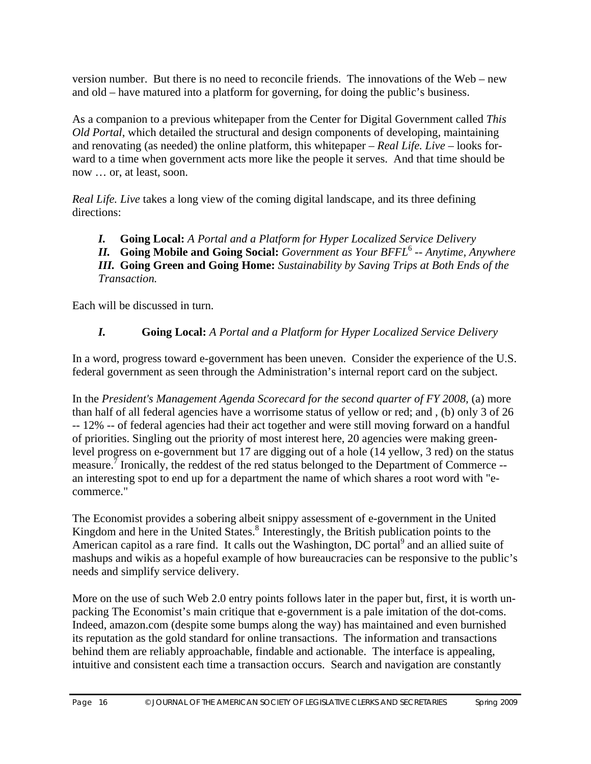version number. But there is no need to reconcile friends. The innovations of the Web – new and old – have matured into a platform for governing, for doing the public's business.

As a companion to a previous whitepaper from the Center for Digital Government called *This Old Portal*, which detailed the structural and design components of developing, maintaining and renovating (as needed) the online platform, this whitepaper *– Real Life. Live –* looks forward to a time when government acts more like the people it serves. And that time should be now … or, at least, soon.

*Real Life. Live* takes a long view of the coming digital landscape, and its three defining directions:

*I.* **Going Local:** *A Portal and a Platform for Hyper Localized Service Delivery*

*II.* **Going Mobile and Going Social:** *Government as Your BFFL*<sup>6</sup>  *-- Anytime, Anywhere*

*III.* **Going Green and Going Home:** *Sustainability by Saving Trips at Both Ends of the Transaction.*

Each will be discussed in turn.

#### *I.* **Going Local:** *A Portal and a Platform for Hyper Localized Service Delivery*

In a word, progress toward e-government has been uneven. Consider the experience of the U.S. federal government as seen through the Administration's internal report card on the subject.

In the *President's Management Agenda Scorecard for the second quarter of FY 2008,* (a) more than half of all federal agencies have a worrisome status of yellow or red; and , (b) only 3 of 26 -- 12% -- of federal agencies had their act together and were still moving forward on a handful of priorities. Singling out the priority of most interest here, 20 agencies were making greenlevel progress on e-government but 17 are digging out of a hole (14 yellow, 3 red) on the status measure.<sup>7</sup> Ironically, the reddest of the red status belonged to the Department of Commerce -an interesting spot to end up for a department the name of which shares a root word with "ecommerce."

The Economist provides a sobering albeit snippy assessment of e-government in the United Kingdom and here in the United States.<sup>8</sup> Interestingly, the British publication points to the American capitol as a rare find. It calls out the Washington, DC portal<sup>9</sup> and an allied suite of mashups and wikis as a hopeful example of how bureaucracies can be responsive to the public's needs and simplify service delivery.

More on the use of such Web 2.0 entry points follows later in the paper but, first, it is worth unpacking The Economist's main critique that e-government is a pale imitation of the dot-coms. Indeed, amazon.com (despite some bumps along the way) has maintained and even burnished its reputation as the gold standard for online transactions. The information and transactions behind them are reliably approachable, findable and actionable. The interface is appealing, intuitive and consistent each time a transaction occurs. Search and navigation are constantly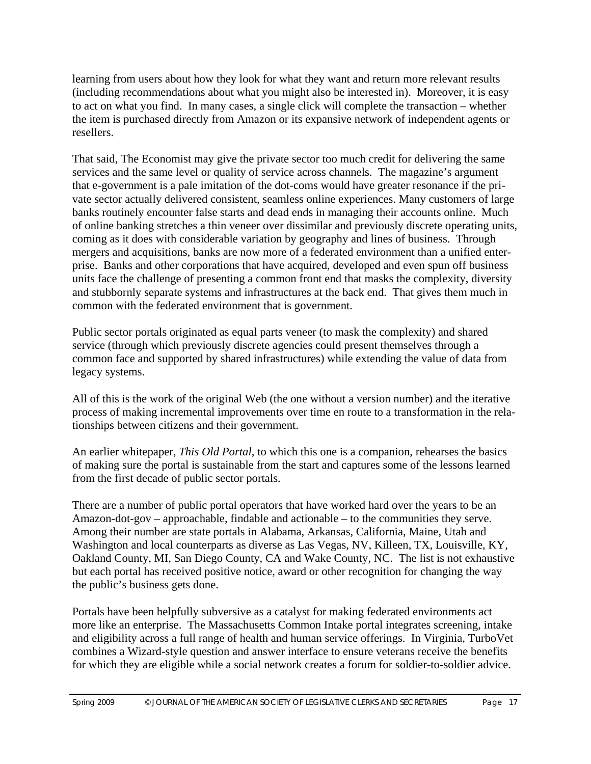learning from users about how they look for what they want and return more relevant results (including recommendations about what you might also be interested in). Moreover, it is easy to act on what you find. In many cases, a single click will complete the transaction – whether the item is purchased directly from Amazon or its expansive network of independent agents or resellers.

That said, The Economist may give the private sector too much credit for delivering the same services and the same level or quality of service across channels. The magazine's argument that e-government is a pale imitation of the dot-coms would have greater resonance if the private sector actually delivered consistent, seamless online experiences. Many customers of large banks routinely encounter false starts and dead ends in managing their accounts online. Much of online banking stretches a thin veneer over dissimilar and previously discrete operating units, coming as it does with considerable variation by geography and lines of business. Through mergers and acquisitions, banks are now more of a federated environment than a unified enterprise. Banks and other corporations that have acquired, developed and even spun off business units face the challenge of presenting a common front end that masks the complexity, diversity and stubbornly separate systems and infrastructures at the back end. That gives them much in common with the federated environment that is government.

Public sector portals originated as equal parts veneer (to mask the complexity) and shared service (through which previously discrete agencies could present themselves through a common face and supported by shared infrastructures) while extending the value of data from legacy systems.

All of this is the work of the original Web (the one without a version number) and the iterative process of making incremental improvements over time en route to a transformation in the relationships between citizens and their government.

An earlier whitepaper, *This Old Portal*, to which this one is a companion, rehearses the basics of making sure the portal is sustainable from the start and captures some of the lessons learned from the first decade of public sector portals.

There are a number of public portal operators that have worked hard over the years to be an Amazon-dot-gov – approachable, findable and actionable – to the communities they serve. Among their number are state portals in Alabama, Arkansas, California, Maine, Utah and Washington and local counterparts as diverse as Las Vegas, NV, Killeen, TX, Louisville, KY, Oakland County, MI, San Diego County, CA and Wake County, NC. The list is not exhaustive but each portal has received positive notice, award or other recognition for changing the way the public's business gets done.

Portals have been helpfully subversive as a catalyst for making federated environments act more like an enterprise. The Massachusetts Common Intake portal integrates screening, intake and eligibility across a full range of health and human service offerings. In Virginia, TurboVet combines a Wizard-style question and answer interface to ensure veterans receive the benefits for which they are eligible while a social network creates a forum for soldier-to-soldier advice.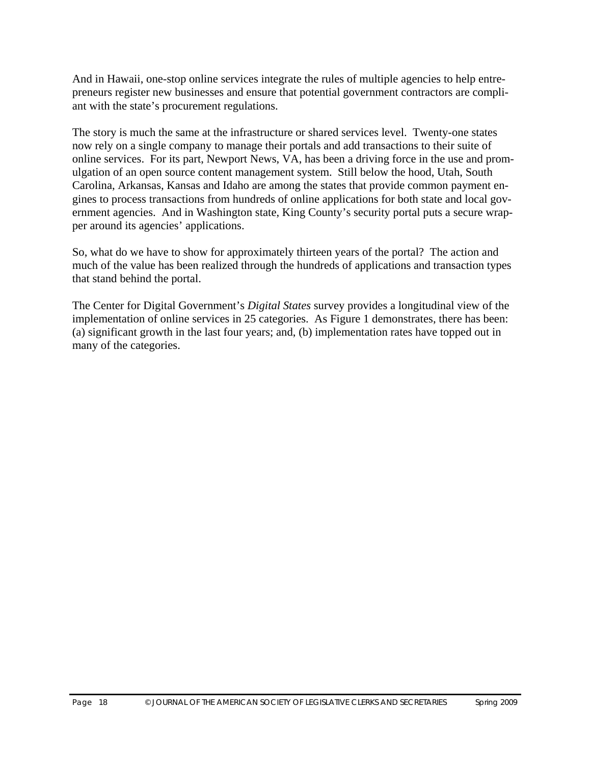And in Hawaii, one-stop online services integrate the rules of multiple agencies to help entrepreneurs register new businesses and ensure that potential government contractors are compliant with the state's procurement regulations.

The story is much the same at the infrastructure or shared services level. Twenty-one states now rely on a single company to manage their portals and add transactions to their suite of online services. For its part, Newport News, VA, has been a driving force in the use and promulgation of an open source content management system. Still below the hood, Utah, South Carolina, Arkansas, Kansas and Idaho are among the states that provide common payment engines to process transactions from hundreds of online applications for both state and local government agencies. And in Washington state, King County's security portal puts a secure wrapper around its agencies' applications.

So, what do we have to show for approximately thirteen years of the portal? The action and much of the value has been realized through the hundreds of applications and transaction types that stand behind the portal.

The Center for Digital Government's *Digital States* survey provides a longitudinal view of the implementation of online services in 25 categories. As Figure 1 demonstrates, there has been: (a) significant growth in the last four years; and, (b) implementation rates have topped out in many of the categories.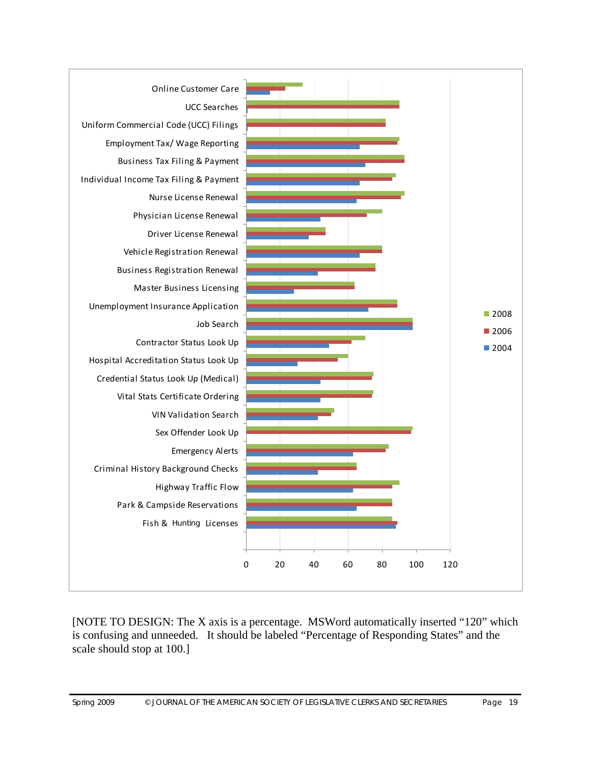

[NOTE TO DESIGN: The X axis is a percentage. MSWord automatically inserted "120" which is confusing and unneeded. It should be labeled "Percentage of Responding States" and the scale should stop at 100.]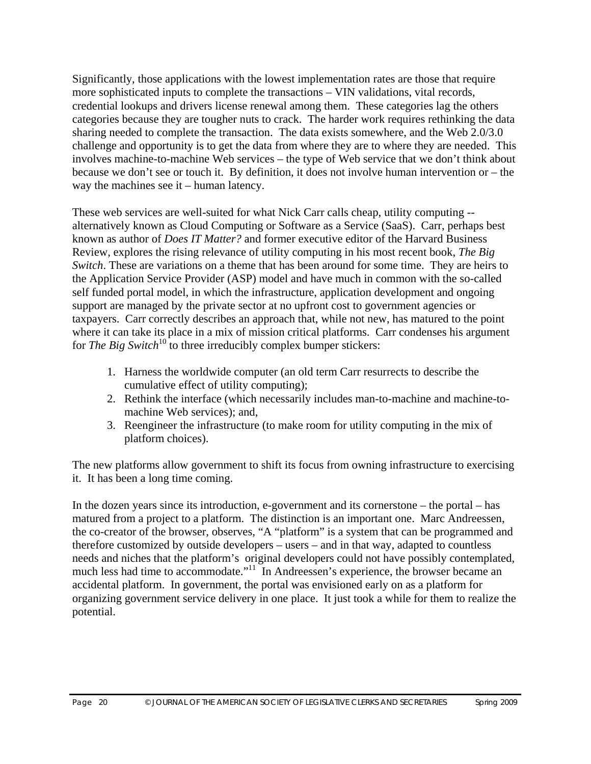Significantly, those applications with the lowest implementation rates are those that require more sophisticated inputs to complete the transactions – VIN validations, vital records, credential lookups and drivers license renewal among them. These categories lag the others categories because they are tougher nuts to crack. The harder work requires rethinking the data sharing needed to complete the transaction. The data exists somewhere, and the Web 2.0/3.0 challenge and opportunity is to get the data from where they are to where they are needed. This involves machine-to-machine Web services – the type of Web service that we don't think about because we don't see or touch it. By definition, it does not involve human intervention or – the way the machines see it – human latency.

These web services are well-suited for what Nick Carr calls cheap, utility computing - alternatively known as Cloud Computing or Software as a Service (SaaS). Carr, perhaps best known as author of *Does IT Matter?* and former executive editor of the Harvard Business Review, explores the rising relevance of utility computing in his most recent book, *The Big Switch*. These are variations on a theme that has been around for some time. They are heirs to the Application Service Provider (ASP) model and have much in common with the so-called self funded portal model, in which the infrastructure, application development and ongoing support are managed by the private sector at no upfront cost to government agencies or taxpayers. Carr correctly describes an approach that, while not new, has matured to the point where it can take its place in a mix of mission critical platforms. Carr condenses his argument for *The Big Switch*<sup>10</sup> to three irreducibly complex bumper stickers:

- 1. Harness the worldwide computer (an old term Carr resurrects to describe the cumulative effect of utility computing);
- 2. Rethink the interface (which necessarily includes man-to-machine and machine-tomachine Web services); and,
- 3. Reengineer the infrastructure (to make room for utility computing in the mix of platform choices).

The new platforms allow government to shift its focus from owning infrastructure to exercising it. It has been a long time coming.

In the dozen years since its introduction, e-government and its cornerstone – the portal – has matured from a project to a platform. The distinction is an important one. Marc Andreessen, the co-creator of the browser, observes, "A "platform" is a system that can be programmed and therefore customized by outside developers – users – and in that way, adapted to countless needs and niches that the platform's original developers could not have possibly contemplated, much less had time to accommodate."<sup>11</sup> In Andreessen's experience, the browser became an accidental platform. In government, the portal was envisioned early on as a platform for organizing government service delivery in one place. It just took a while for them to realize the potential.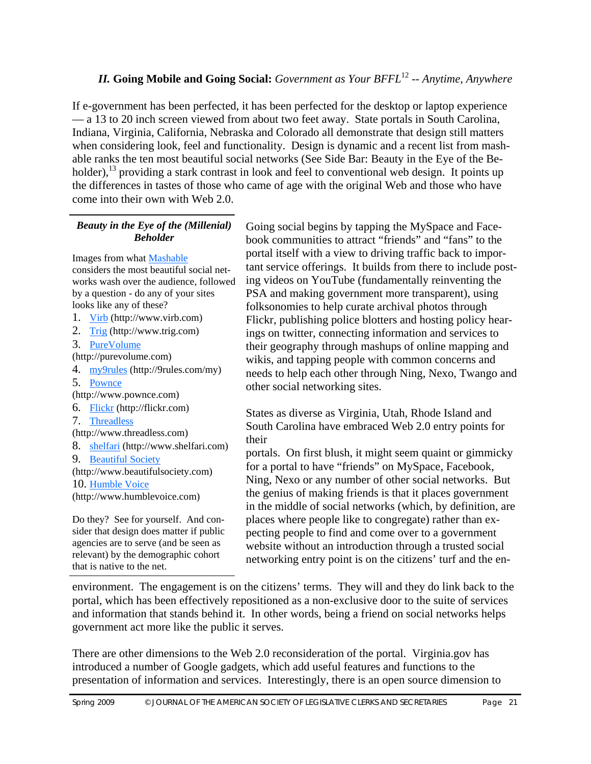# *II.* **Going Mobile and Going Social:** *Government as Your BFFL*<sup>12</sup> *-- Anytime, Anywhere*

If e-government has been perfected, it has been perfected for the desktop or laptop experience — a 13 to 20 inch screen viewed from about two feet away. State portals in South Carolina, Indiana, Virginia, California, Nebraska and Colorado all demonstrate that design still matters when considering look, feel and functionality. Design is dynamic and a recent list from mashable ranks the ten most beautiful social networks (See Side Bar: Beauty in the Eye of the Beholder),  $^{13}$  providing a stark contrast in look and feel to conventional web design. It points up the differences in tastes of those who came of age with the original Web and those who have come into their own with Web 2.0.

#### *Beauty in the Eye of the (Millenial) Beholder*

Images from what Mashable considers the most beautiful social networks wash over the audience, followed by a question - do any of your sites looks like any of these?

- 1. Virb (http://www.virb.com)
- 2. Trig (http://www.trig.com)
- 3. PureVolume

(http://purevolume.com)

- 4. my9rules (http://9rules.com/my)
- 5. Pownce
- (http://www.pownce.com)
- 6. Flickr (http://flickr.com)
- 7. Threadless
- (http://www.threadless.com)
- 8. shelfari (http://www.shelfari.com)
- 9. Beautiful Society

(http://www.beautifulsociety.com)

10. Humble Voice

(http://www.humblevoice.com)

Do they? See for yourself. And consider that design does matter if public agencies are to serve (and be seen as relevant) by the demographic cohort that is native to the net.

Going social begins by tapping the MySpace and Facebook communities to attract "friends" and "fans" to the portal itself with a view to driving traffic back to important service offerings. It builds from there to include posting videos on YouTube (fundamentally reinventing the PSA and making government more transparent), using folksonomies to help curate archival photos through Flickr, publishing police blotters and hosting policy hearings on twitter, connecting information and services to their geography through mashups of online mapping and wikis, and tapping people with common concerns and needs to help each other through Ning, Nexo, Twango and other social networking sites.

States as diverse as Virginia, Utah, Rhode Island and South Carolina have embraced Web 2.0 entry points for their

portals. On first blush, it might seem quaint or gimmicky for a portal to have "friends" on MySpace, Facebook, Ning, Nexo or any number of other social networks. But the genius of making friends is that it places government in the middle of social networks (which, by definition, are places where people like to congregate) rather than expecting people to find and come over to a government website without an introduction through a trusted social networking entry point is on the citizens' turf and the en-

environment. The engagement is on the citizens' terms. They will and they do link back to the portal, which has been effectively repositioned as a non-exclusive door to the suite of services and information that stands behind it. In other words, being a friend on social networks helps government act more like the public it serves.

There are other dimensions to the Web 2.0 reconsideration of the portal. Virginia.gov has introduced a number of Google gadgets, which add useful features and functions to the presentation of information and services. Interestingly, there is an open source dimension to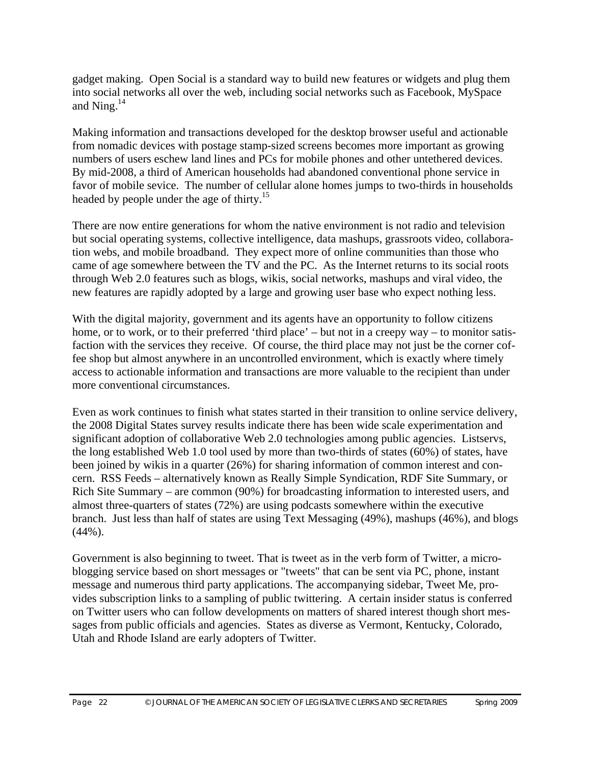gadget making. Open Social is a standard way to build new features or widgets and plug them into social networks all over the web, including social networks such as Facebook, MySpace and Ning.14

Making information and transactions developed for the desktop browser useful and actionable from nomadic devices with postage stamp-sized screens becomes more important as growing numbers of users eschew land lines and PCs for mobile phones and other untethered devices. By mid-2008, a third of American households had abandoned conventional phone service in favor of mobile sevice. The number of cellular alone homes jumps to two-thirds in households headed by people under the age of thirty.<sup>15</sup>

There are now entire generations for whom the native environment is not radio and television but social operating systems, collective intelligence, data mashups, grassroots video, collaboration webs, and mobile broadband. They expect more of online communities than those who came of age somewhere between the TV and the PC. As the Internet returns to its social roots through Web 2.0 features such as blogs, wikis, social networks, mashups and viral video, the new features are rapidly adopted by a large and growing user base who expect nothing less.

With the digital majority, government and its agents have an opportunity to follow citizens home, or to work, or to their preferred 'third place' – but not in a creepy way – to monitor satisfaction with the services they receive. Of course, the third place may not just be the corner coffee shop but almost anywhere in an uncontrolled environment, which is exactly where timely access to actionable information and transactions are more valuable to the recipient than under more conventional circumstances.

Even as work continues to finish what states started in their transition to online service delivery, the 2008 Digital States survey results indicate there has been wide scale experimentation and significant adoption of collaborative Web 2.0 technologies among public agencies. Listservs, the long established Web 1.0 tool used by more than two-thirds of states (60%) of states, have been joined by wikis in a quarter (26%) for sharing information of common interest and concern. RSS Feeds – alternatively known as Really Simple Syndication, RDF Site Summary, or Rich Site Summary – are common (90%) for broadcasting information to interested users, and almost three-quarters of states (72%) are using podcasts somewhere within the executive branch. Just less than half of states are using Text Messaging (49%), mashups (46%), and blogs  $(44\%)$ .

Government is also beginning to tweet. That is tweet as in the verb form of Twitter, a microblogging service based on short messages or "tweets" that can be sent via PC, phone, instant message and numerous third party applications. The accompanying sidebar, Tweet Me, provides subscription links to a sampling of public twittering. A certain insider status is conferred on Twitter users who can follow developments on matters of shared interest though short messages from public officials and agencies. States as diverse as Vermont, Kentucky, Colorado, Utah and Rhode Island are early adopters of Twitter.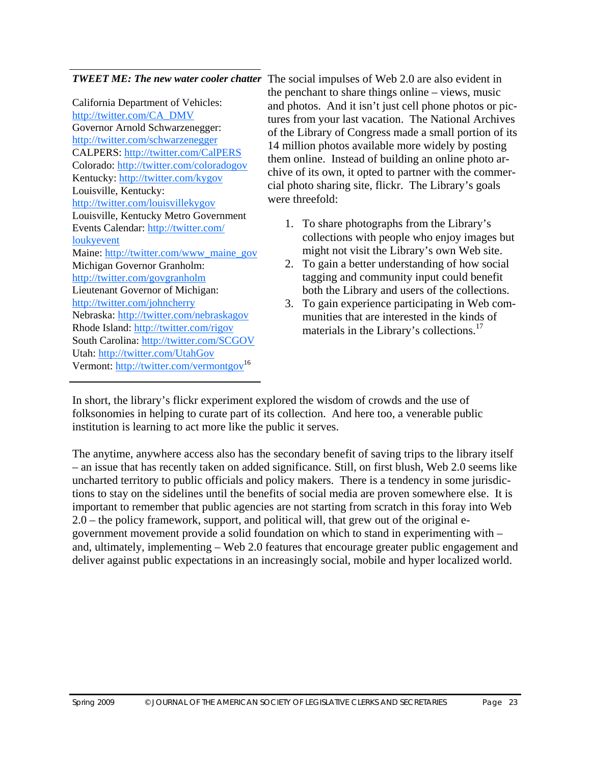California Department of Vehicles: http://twitter.com/CA\_DMV Governor Arnold Schwarzenegger: http://twitter.com/schwarzenegger CALPERS: http://twitter.com/CalPERS Colorado: http://twitter.com/coloradogov Kentucky: http://twitter.com/kygov Louisville, Kentucky: http://twitter.com/louisvillekygov Louisville, Kentucky Metro Government Events Calendar: http://twitter.com/ loukyevent Maine: http://twitter.com/www\_maine\_gov Michigan Governor Granholm: http://twitter.com/govgranholm Lieutenant Governor of Michigan: http://twitter.com/johncherry Nebraska: http://twitter.com/nebraskagov Rhode Island: http://twitter.com/rigov South Carolina: http://twitter.com/SCGOV Utah: http://twitter.com/UtahGov Vermont: http://twitter.com/vermontgov<sup>16</sup>

**TWEET ME: The new water cooler chatter** The social impulses of Web 2.0 are also evident in the penchant to share things online – views, music and photos. And it isn't just cell phone photos or pictures from your last vacation. The National Archives of the Library of Congress made a small portion of its 14 million photos available more widely by posting them online. Instead of building an online photo archive of its own, it opted to partner with the commercial photo sharing site, flickr. The Library's goals were threefold:

- 1. To share photographs from the Library's collections with people who enjoy images but might not visit the Library's own Web site.
- 2. To gain a better understanding of how social tagging and community input could benefit both the Library and users of the collections.
- 3. To gain experience participating in Web communities that are interested in the kinds of materials in the Library's collections.<sup>17</sup>

In short, the library's flickr experiment explored the wisdom of crowds and the use of folksonomies in helping to curate part of its collection. And here too, a venerable public institution is learning to act more like the public it serves.

The anytime, anywhere access also has the secondary benefit of saving trips to the library itself – an issue that has recently taken on added significance. Still, on first blush, Web 2.0 seems like uncharted territory to public officials and policy makers. There is a tendency in some jurisdictions to stay on the sidelines until the benefits of social media are proven somewhere else. It is important to remember that public agencies are not starting from scratch in this foray into Web 2.0 – the policy framework, support, and political will, that grew out of the original egovernment movement provide a solid foundation on which to stand in experimenting with – and, ultimately, implementing – Web 2.0 features that encourage greater public engagement and deliver against public expectations in an increasingly social, mobile and hyper localized world.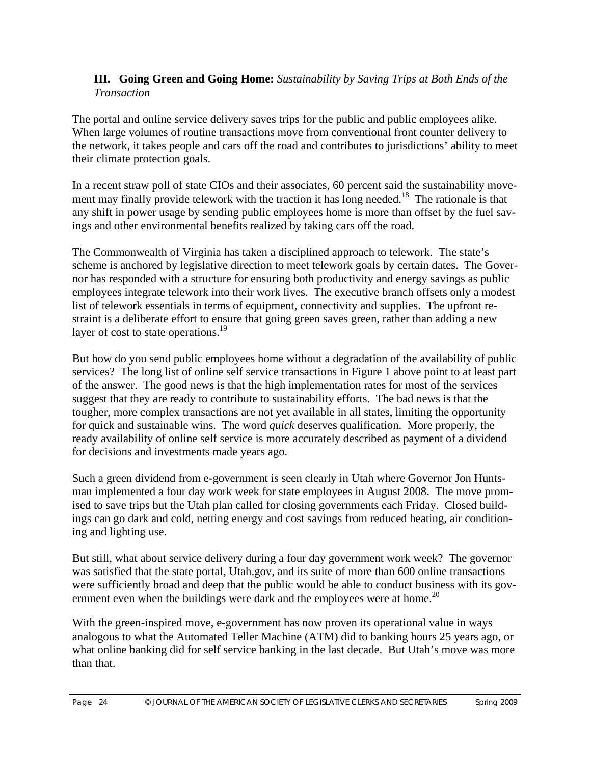#### **III. Going Green and Going Home:** *Sustainability by Saving Trips at Both Ends of the Transaction*

The portal and online service delivery saves trips for the public and public employees alike. When large volumes of routine transactions move from conventional front counter delivery to the network, it takes people and cars off the road and contributes to jurisdictions' ability to meet their climate protection goals.

In a recent straw poll of state CIOs and their associates, 60 percent said the sustainability movement may finally provide telework with the traction it has long needed.<sup>18</sup> The rationale is that any shift in power usage by sending public employees home is more than offset by the fuel savings and other environmental benefits realized by taking cars off the road.

The Commonwealth of Virginia has taken a disciplined approach to telework. The state's scheme is anchored by legislative direction to meet telework goals by certain dates. The Governor has responded with a structure for ensuring both productivity and energy savings as public employees integrate telework into their work lives. The executive branch offsets only a modest list of telework essentials in terms of equipment, connectivity and supplies. The upfront restraint is a deliberate effort to ensure that going green saves green, rather than adding a new layer of cost to state operations. $19$ 

But how do you send public employees home without a degradation of the availability of public services? The long list of online self service transactions in Figure 1 above point to at least part of the answer. The good news is that the high implementation rates for most of the services suggest that they are ready to contribute to sustainability efforts. The bad news is that the tougher, more complex transactions are not yet available in all states, limiting the opportunity for quick and sustainable wins. The word *quick* deserves qualification. More properly, the ready availability of online self service is more accurately described as payment of a dividend for decisions and investments made years ago.

Such a green dividend from e-government is seen clearly in Utah where Governor Jon Huntsman implemented a four day work week for state employees in August 2008. The move promised to save trips but the Utah plan called for closing governments each Friday. Closed buildings can go dark and cold, netting energy and cost savings from reduced heating, air conditioning and lighting use.

But still, what about service delivery during a four day government work week? The governor was satisfied that the state portal, Utah.gov, and its suite of more than 600 online transactions were sufficiently broad and deep that the public would be able to conduct business with its government even when the buildings were dark and the employees were at home.<sup>20</sup>

With the green-inspired move, e-government has now proven its operational value in ways analogous to what the Automated Teller Machine (ATM) did to banking hours 25 years ago, or what online banking did for self service banking in the last decade. But Utah's move was more than that.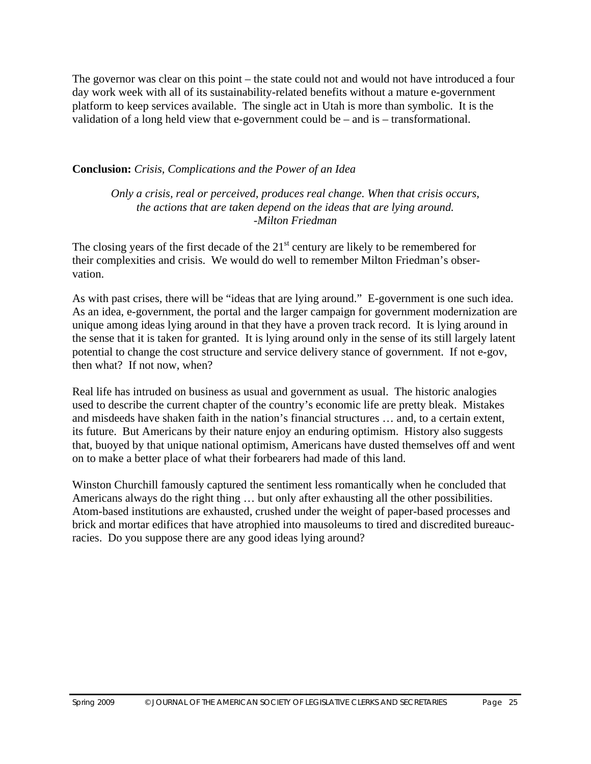The governor was clear on this point – the state could not and would not have introduced a four day work week with all of its sustainability-related benefits without a mature e-government platform to keep services available. The single act in Utah is more than symbolic. It is the validation of a long held view that e-government could be – and is – transformational.

#### **Conclusion:** *Crisis, Complications and the Power of an Idea*

*Only a crisis, real or perceived, produces real change. When that crisis occurs, the actions that are taken depend on the ideas that are lying around. -Milton Friedman* 

The closing years of the first decade of the  $21<sup>st</sup>$  century are likely to be remembered for their complexities and crisis. We would do well to remember Milton Friedman's observation.

As with past crises, there will be "ideas that are lying around." E-government is one such idea. As an idea, e-government, the portal and the larger campaign for government modernization are unique among ideas lying around in that they have a proven track record. It is lying around in the sense that it is taken for granted. It is lying around only in the sense of its still largely latent potential to change the cost structure and service delivery stance of government. If not e-gov, then what? If not now, when?

Real life has intruded on business as usual and government as usual. The historic analogies used to describe the current chapter of the country's economic life are pretty bleak. Mistakes and misdeeds have shaken faith in the nation's financial structures … and, to a certain extent, its future. But Americans by their nature enjoy an enduring optimism. History also suggests that, buoyed by that unique national optimism, Americans have dusted themselves off and went on to make a better place of what their forbearers had made of this land.

Winston Churchill famously captured the sentiment less romantically when he concluded that Americans always do the right thing … but only after exhausting all the other possibilities. Atom-based institutions are exhausted, crushed under the weight of paper-based processes and brick and mortar edifices that have atrophied into mausoleums to tired and discredited bureaucracies. Do you suppose there are any good ideas lying around?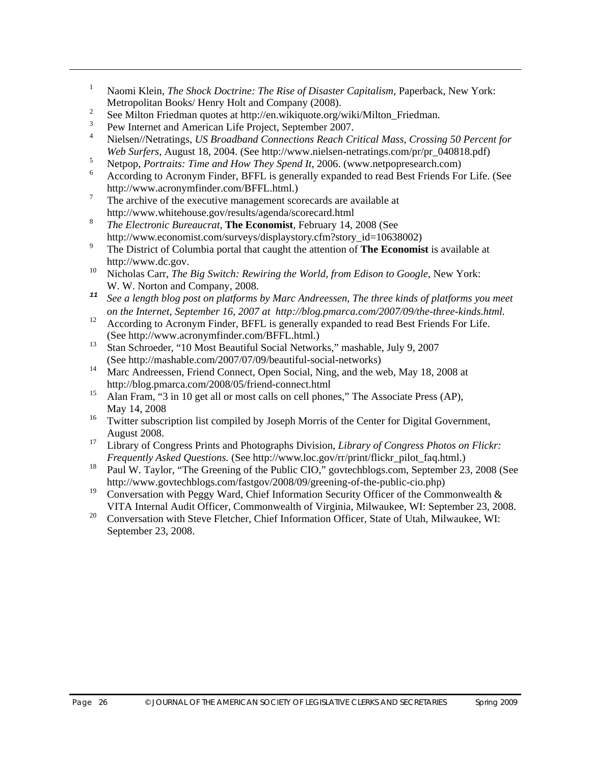- 1 Naomi Klein, *The Shock Doctrine: The Rise of Disaster Capitalism*, Paperback, New York: Metropolitan Books/ Henry Holt and Company (2008).
- 2 See Milton Friedman quotes at http://en.wikiquote.org/wiki/Milton\_Friedman.
- 3 Pew Internet and American Life Project, September 2007.
- 4 Nielsen//Netratings, *US Broadband Connections Reach Critical Mass, Crossing 50 Percent for Web Surfers*, August 18, 2004. (See http://www.nielsen-netratings.com/pr/pr\_040818.pdf)
- 5 Netpop, *Portraits: Time and How They Spend It*, 2006. (www.netpopresearch.com)
- 6 According to Acronym Finder, BFFL is generally expanded to read Best Friends For Life. (See http://www.acronymfinder.com/BFFL.html.)
- 7 The archive of the executive management scorecards are available at http://www.whitehouse.gov/results/agenda/scorecard.html
- <sup>8</sup> *The Electronic Bureaucrat*, **The Economist**, February 14, 2008 (See http://www.economist.com/surveys/displaystory.cfm?story\_id=10638002)
- 9 The District of Columbia portal that caught the attention of **The Economist** is available at http://www.dc.gov.
- Nicholas Carr, *The Big Switch: Rewiring the World, from Edison to Google*, New York: W. W. Norton and Company, 2008.<br><sup>11</sup> See a length blog post on platforms
- *<sup>11</sup> See a length blog post on platforms by Marc Andreessen, The three kinds of platforms you meet on the Internet, September 16, 2007 at http://blog.pmarca.com/2007/09/the-three-kinds.html.*
- 12 According to Acronym Finder, BFFL is generally expanded to read Best Friends For Life. (See http://www.acronymfinder.com/BFFL.html.)<br><sup>13</sup> Step Schroeder, "10 Most Beautiful Seciel Network
- 13 Stan Schroeder, "10 Most Beautiful Social Networks," mashable, July 9, 2007 (See http://mashable.com/2007/07/09/beautiful-social-networks)<br><sup>14</sup> More Andreassen, Friend Connect, Open Social, Ning, and the w
- Marc Andreessen, Friend Connect, Open Social, Ning, and the web, May 18, 2008 at http://blog.pmarca.com/2008/05/friend-connect.html<br>15 Alan Fram "3 in 10 get all or most calls on call phone
- Alan Fram, "3 in 10 get all or most calls on cell phones," The Associate Press (AP), May 14, 2008
- 16 Twitter subscription list compiled by Joseph Morris of the Center for Digital Government, August 2008.
- <sup>17</sup> Library of Congress Prints and Photographs Division, *Library of Congress Photos on Flickr: Frequently Asked Questions.* (See http://www.loc.gov/rr/print/flickr\_pilot\_faq.html.)<br><sup>18</sup> Poul W. Toylor. "The Greening of the Public CIO," gouteshblogs com. Sontember 23
- 18 Paul W. Taylor, "The Greening of the Public CIO," govtechblogs.com, September 23, 2008 (See http://www.govtechblogs.com/fastgov/2008/09/greening-of-the-public-cio.php)<br>
Conversation with Bosov Word, Chief Information Sequrity Officer of the Comm
- Conversation with Peggy Ward, Chief Information Security Officer of the Commonwealth  $\&$ VITA Internal Audit Officer, Commonwealth of Virginia, Milwaukee, WI: September 23, 2008.<br>
Conversetion with Stave Eleteber, Chief Information Officer, State of Utah, Milwaukee, WI:
- 20 Conversation with Steve Fletcher, Chief Information Officer, State of Utah, Milwaukee, WI: September 23, 2008.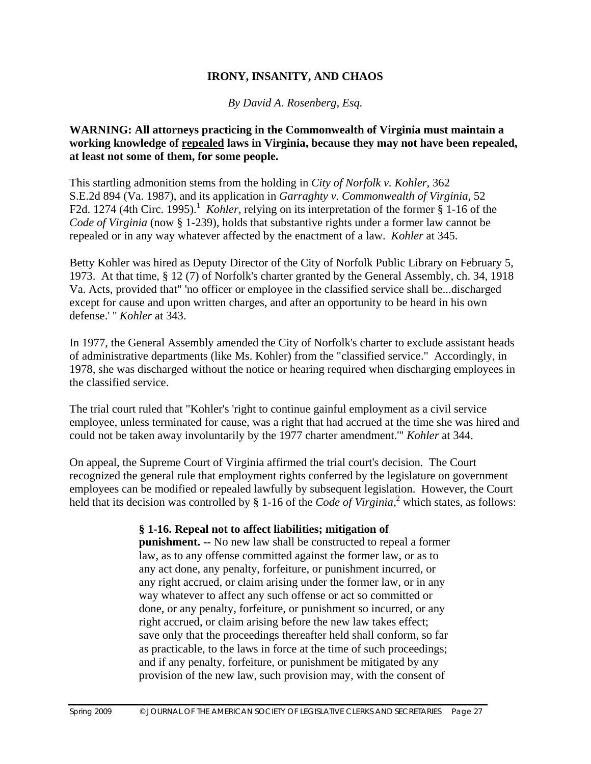#### **IRONY, INSANITY, AND CHAOS**

*By David A. Rosenberg, Esq.* 

#### **WARNING: All attorneys practicing in the Commonwealth of Virginia must maintain a working knowledge of repealed laws in Virginia, because they may not have been repealed, at least not some of them, for some people.**

This startling admonition stems from the holding in *City of Norfolk v. Kohler,* 362 S.E.2d 894 (Va. 1987), and its application in *Garraghty v. Commonwealth of Virginia*, 52 F2d. 1274 (4th Circ. 1995).<sup>1</sup> Kohler, relying on its interpretation of the former § 1-16 of the *Code of Virginia* (now § 1-239), holds that substantive rights under a former law cannot be repealed or in any way whatever affected by the enactment of a law. *Kohler* at 345.

Betty Kohler was hired as Deputy Director of the City of Norfolk Public Library on February 5, 1973. At that time, § 12 (7) of Norfolk's charter granted by the General Assembly, ch. 34, 1918 Va. Acts, provided that" 'no officer or employee in the classified service shall be...discharged except for cause and upon written charges, and after an opportunity to be heard in his own defense.' '' *Kohler* at 343.

In 1977, the General Assembly amended the City of Norfolk's charter to exclude assistant heads of administrative departments (like Ms. Kohler) from the "classified service." Accordingly, in 1978, she was discharged without the notice or hearing required when discharging employees in the classified service.

The trial court ruled that "Kohler's 'right to continue gainful employment as a civil service employee, unless terminated for cause, was a right that had accrued at the time she was hired and could not be taken away involuntarily by the 1977 charter amendment.'" *Kohler* at 344.

On appeal, the Supreme Court of Virginia affirmed the trial court's decision. The Court recognized the general rule that employment rights conferred by the legislature on government employees can be modified or repealed lawfully by subsequent legislation. However, the Court held that its decision was controlled by § 1-16 of the *Code of Virginia*,<sup>2</sup> which states, as follows:

#### **§ 1-16. Repeal not to affect liabilities; mitigation of**

**punishment. --** No new law shall be constructed to repeal a former law, as to any offense committed against the former law, or as to any act done, any penalty, forfeiture, or punishment incurred, or any right accrued, or claim arising under the former law, or in any way whatever to affect any such offense or act so committed or done, or any penalty, forfeiture, or punishment so incurred, or any right accrued, or claim arising before the new law takes effect; save only that the proceedings thereafter held shall conform, so far as practicable, to the laws in force at the time of such proceedings; and if any penalty, forfeiture, or punishment be mitigated by any provision of the new law, such provision may, with the consent of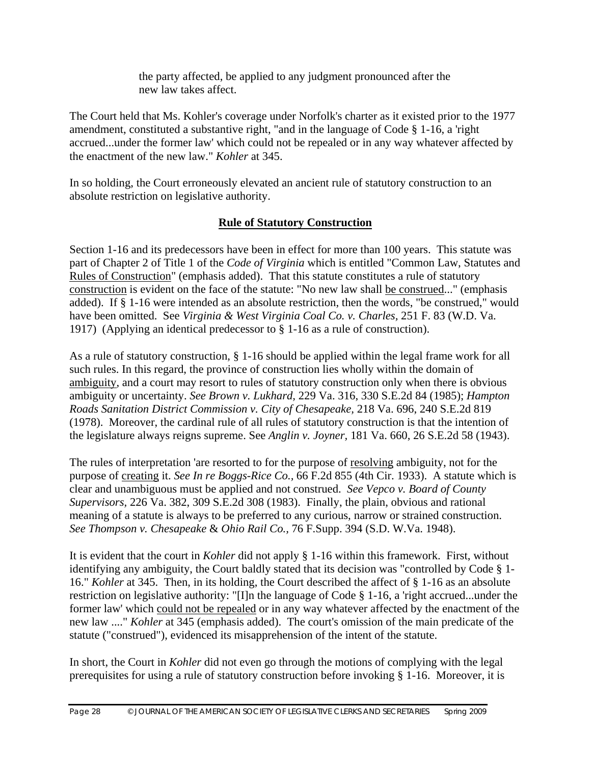the party affected, be applied to any judgment pronounced after the new law takes affect.

The Court held that Ms. Kohler's coverage under Norfolk's charter as it existed prior to the 1977 amendment, constituted a substantive right, "and in the language of Code § 1-16, a 'right accrued...under the former law' which could not be repealed or in any way whatever affected by the enactment of the new law." *Kohler* at 345.

In so holding, the Court erroneously elevated an ancient rule of statutory construction to an absolute restriction on legislative authority.

#### **Rule of Statutory Construction**

Section 1-16 and its predecessors have been in effect for more than 100 years. This statute was part of Chapter 2 of Title 1 of the *Code of Virginia* which is entitled "Common Law, Statutes and Rules of Construction" (emphasis added). That this statute constitutes a rule of statutory construction is evident on the face of the statute: "No new law shall be construed..." (emphasis added). If § 1-16 were intended as an absolute restriction, then the words, "be construed," would have been omitted. See *Virginia & West Virginia Coal Co. v. Charles,* 251 F. 83 (W.D. Va. 1917) (Applying an identical predecessor to § 1-16 as a rule of construction).

As a rule of statutory construction, § 1-16 should be applied within the legal frame work for all such rules. In this regard, the province of construction lies wholly within the domain of ambiguity, and a court may resort to rules of statutory construction only when there is obvious ambiguity or uncertainty. *See Brown v. Lukhard,* 229 Va. 316, 330 S.E.2d 84 (1985); *Hampton Roads Sanitation District Commission v. City of Chesapeake,* 218 Va. 696, 240 S.E.2d 819 (1978). Moreover, the cardinal rule of all rules of statutory construction is that the intention of the legislature always reigns supreme. See *Anglin v. Joyner,* 181 Va. 660, 26 S.E.2d 58 (1943).

The rules of interpretation 'are resorted to for the purpose of resolving ambiguity, not for the purpose of creating it. *See In re Boggs-Rice Co.,* 66 F.2d 855 (4th Cir. 1933). A statute which is clear and unambiguous must be applied and not construed. *See Vepco v. Board of County Supervisors,* 226 Va. 382, 309 S.E.2d 308 (1983). Finally, the plain, obvious and rational meaning of a statute is always to be preferred to any curious, narrow or strained construction. *See Thompson v. Chesapeake* & *Ohio Rail Co.,* 76 F.Supp. 394 (S.D. W.Va. 1948).

It is evident that the court in *Kohler* did not apply § 1-16 within this framework. First, without identifying any ambiguity, the Court baldly stated that its decision was "controlled by Code § 1- 16." *Kohler* at 345. Then, in its holding, the Court described the affect of § 1-16 as an absolute restriction on legislative authority: "[I]n the language of Code § 1-16, a 'right accrued...under the former law' which could not be repealed or in any way whatever affected by the enactment of the new law ...." *Kohler* at 345 (emphasis added). The court's omission of the main predicate of the statute ("construed"), evidenced its misapprehension of the intent of the statute.

In short, the Court in *Kohler* did not even go through the motions of complying with the legal prerequisites for using a rule of statutory construction before invoking § 1-16. Moreover, it is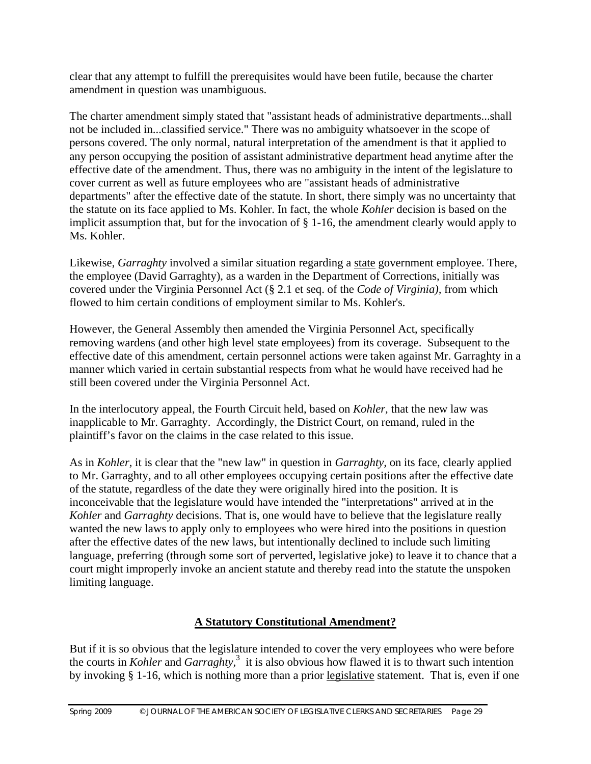clear that any attempt to fulfill the prerequisites would have been futile, because the charter amendment in question was unambiguous.

The charter amendment simply stated that "assistant heads of administrative departments...shall not be included in...classified service." There was no ambiguity whatsoever in the scope of persons covered. The only normal, natural interpretation of the amendment is that it applied to any person occupying the position of assistant administrative department head anytime after the effective date of the amendment. Thus, there was no ambiguity in the intent of the legislature to cover current as well as future employees who are "assistant heads of administrative departments" after the effective date of the statute. In short, there simply was no uncertainty that the statute on its face applied to Ms. Kohler. In fact, the whole *Kohler* decision is based on the implicit assumption that, but for the invocation of § 1-16, the amendment clearly would apply to Ms. Kohler.

Likewise, *Garraghty* involved a similar situation regarding a state government employee. There, the employee (David Garraghty), as a warden in the Department of Corrections, initially was covered under the Virginia Personnel Act (§ 2.1 et seq. of the *Code of Virginia),* from which flowed to him certain conditions of employment similar to Ms. Kohler's.

However, the General Assembly then amended the Virginia Personnel Act, specifically removing wardens (and other high level state employees) from its coverage. Subsequent to the effective date of this amendment, certain personnel actions were taken against Mr. Garraghty in a manner which varied in certain substantial respects from what he would have received had he still been covered under the Virginia Personnel Act.

In the interlocutory appeal, the Fourth Circuit held, based on *Kohler,* that the new law was inapplicable to Mr. Garraghty. Accordingly, the District Court, on remand, ruled in the plaintiff's favor on the claims in the case related to this issue.

As in *Kohler,* it is clear that the "new law" in question in *Garraghty,* on its face, clearly applied to Mr. Garraghty, and to all other employees occupying certain positions after the effective date of the statute, regardless of the date they were originally hired into the position. It is inconceivable that the legislature would have intended the "interpretations" arrived at in the *Kohler* and *Garraghty* decisions. That is, one would have to believe that the legislature really wanted the new laws to apply only to employees who were hired into the positions in question after the effective dates of the new laws, but intentionally declined to include such limiting language, preferring (through some sort of perverted, legislative joke) to leave it to chance that a court might improperly invoke an ancient statute and thereby read into the statute the unspoken limiting language.

# **A Statutory Constitutional Amendment?**

But if it is so obvious that the legislature intended to cover the very employees who were before the courts in *Kohler* and *Garraghty*,<sup>3</sup> it is also obvious how flawed it is to thwart such intention by invoking § 1-16, which is nothing more than a prior legislative statement. That is, even if one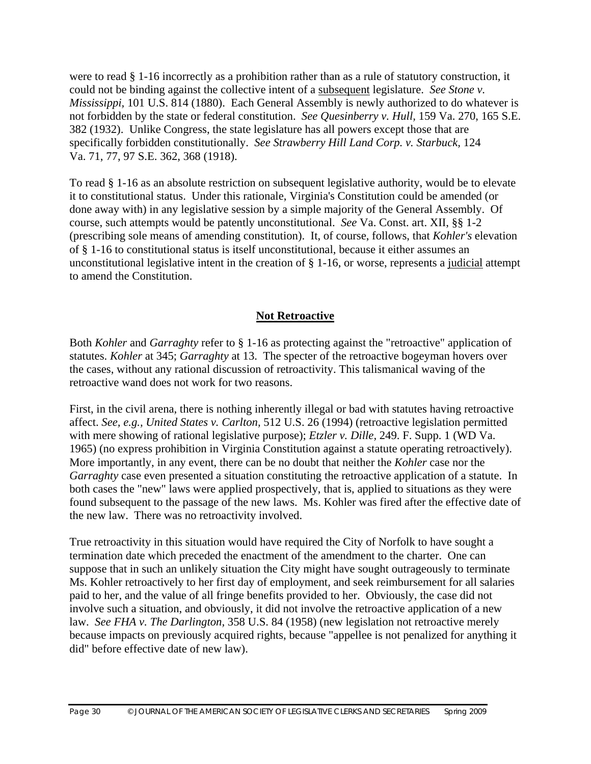were to read § 1-16 incorrectly as a prohibition rather than as a rule of statutory construction, it could not be binding against the collective intent of a subsequent legislature. *See Stone v. Mississippi,* 101 U.S. 814 (1880). Each General Assembly is newly authorized to do whatever is not forbidden by the state or federal constitution. *See Quesinberry v. Hull,* 159 Va. 270, 165 S.E. 382 (1932). Unlike Congress, the state legislature has all powers except those that are specifically forbidden constitutionally. *See Strawberry Hill Land Corp. v. Starbuck,* 124 Va. 71, 77, 97 S.E. 362, 368 (1918).

To read § 1-16 as an absolute restriction on subsequent legislative authority, would be to elevate it to constitutional status. Under this rationale, Virginia's Constitution could be amended (or done away with) in any legislative session by a simple majority of the General Assembly. Of course, such attempts would be patently unconstitutional. *See* Va. Const. art. XII, §§ 1-2 (prescribing sole means of amending constitution). It, of course, follows, that *Kohler's* elevation of § 1-16 to constitutional status is itself unconstitutional, because it either assumes an unconstitutional legislative intent in the creation of § 1-16, or worse, represents a judicial attempt to amend the Constitution.

#### **Not Retroactive**

Both *Kohler* and *Garraghty* refer to § 1-16 as protecting against the "retroactive" application of statutes. *Kohler* at 345; *Garraghty* at 13. The specter of the retroactive bogeyman hovers over the cases, without any rational discussion of retroactivity. This talismanical waving of the retroactive wand does not work for two reasons.

First, in the civil arena, there is nothing inherently illegal or bad with statutes having retroactive affect. *See, e.g., United States v. Carlton,* 512 U.S. 26 (1994) (retroactive legislation permitted with mere showing of rational legislative purpose); *Etzler v. Dille,* 249. F. Supp. 1 (WD Va. 1965) (no express prohibition in Virginia Constitution against a statute operating retroactively). More importantly, in any event, there can be no doubt that neither the *Kohler* case nor the *Garraghty* case even presented a situation constituting the retroactive application of a statute. In both cases the "new" laws were applied prospectively, that is, applied to situations as they were found subsequent to the passage of the new laws. Ms. Kohler was fired after the effective date of the new law. There was no retroactivity involved.

True retroactivity in this situation would have required the City of Norfolk to have sought a termination date which preceded the enactment of the amendment to the charter. One can suppose that in such an unlikely situation the City might have sought outrageously to terminate Ms. Kohler retroactively to her first day of employment, and seek reimbursement for all salaries paid to her, and the value of all fringe benefits provided to her. Obviously, the case did not involve such a situation, and obviously, it did not involve the retroactive application of a new law. *See FHA v. The Darlington,* 358 U.S. 84 (1958) (new legislation not retroactive merely because impacts on previously acquired rights, because "appellee is not penalized for anything it did" before effective date of new law).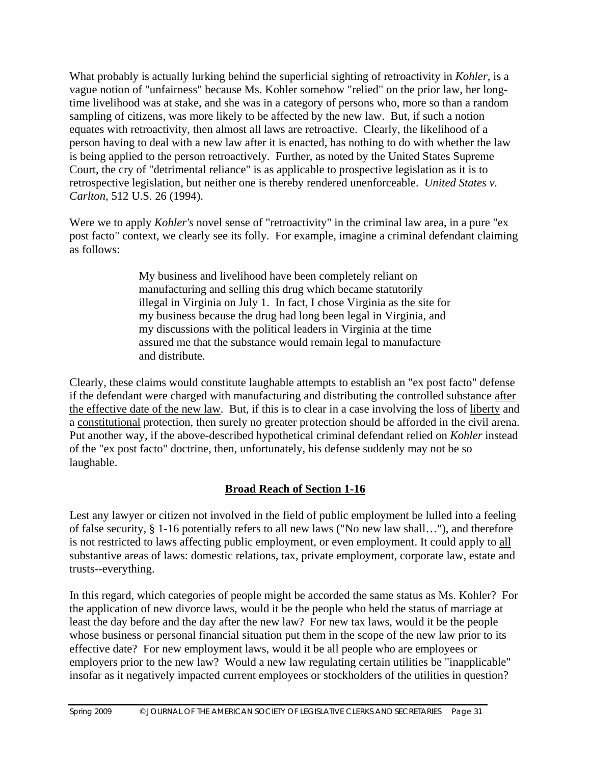What probably is actually lurking behind the superficial sighting of retroactivity in *Kohler,* is a vague notion of "unfairness" because Ms. Kohler somehow "relied" on the prior law, her longtime livelihood was at stake, and she was in a category of persons who, more so than a random sampling of citizens, was more likely to be affected by the new law. But, if such a notion equates with retroactivity, then almost all laws are retroactive. Clearly, the likelihood of a person having to deal with a new law after it is enacted, has nothing to do with whether the law is being applied to the person retroactively. Further, as noted by the United States Supreme Court, the cry of "detrimental reliance" is as applicable to prospective legislation as it is to retrospective legislation, but neither one is thereby rendered unenforceable. *United States v. Carlton,* 512 U.S. 26 (1994).

Were we to apply *Kohler's* novel sense of "retroactivity" in the criminal law area, in a pure "ex post facto" context, we clearly see its folly. For example, imagine a criminal defendant claiming as follows:

> My business and livelihood have been completely reliant on manufacturing and selling this drug which became statutorily illegal in Virginia on July 1. In fact, I chose Virginia as the site for my business because the drug had long been legal in Virginia, and my discussions with the political leaders in Virginia at the time assured me that the substance would remain legal to manufacture and distribute.

Clearly, these claims would constitute laughable attempts to establish an "ex post facto" defense if the defendant were charged with manufacturing and distributing the controlled substance after the effective date of the new law. But, if this is to clear in a case involving the loss of liberty and a constitutional protection, then surely no greater protection should be afforded in the civil arena. Put another way, if the above-described hypothetical criminal defendant relied on *Kohler* instead of the "ex post facto" doctrine, then, unfortunately, his defense suddenly may not be so laughable.

# **Broad Reach of Section 1-16**

Lest any lawyer or citizen not involved in the field of public employment be lulled into a feeling of false security, § 1-16 potentially refers to all new laws ("No new law shall…"), and therefore is not restricted to laws affecting public employment, or even employment. It could apply to all substantive areas of laws: domestic relations, tax, private employment, corporate law, estate and trusts--everything.

In this regard, which categories of people might be accorded the same status as Ms. Kohler? For the application of new divorce laws, would it be the people who held the status of marriage at least the day before and the day after the new law? For new tax laws, would it be the people whose business or personal financial situation put them in the scope of the new law prior to its effective date? For new employment laws, would it be all people who are employees or employers prior to the new law? Would a new law regulating certain utilities be "inapplicable" insofar as it negatively impacted current employees or stockholders of the utilities in question?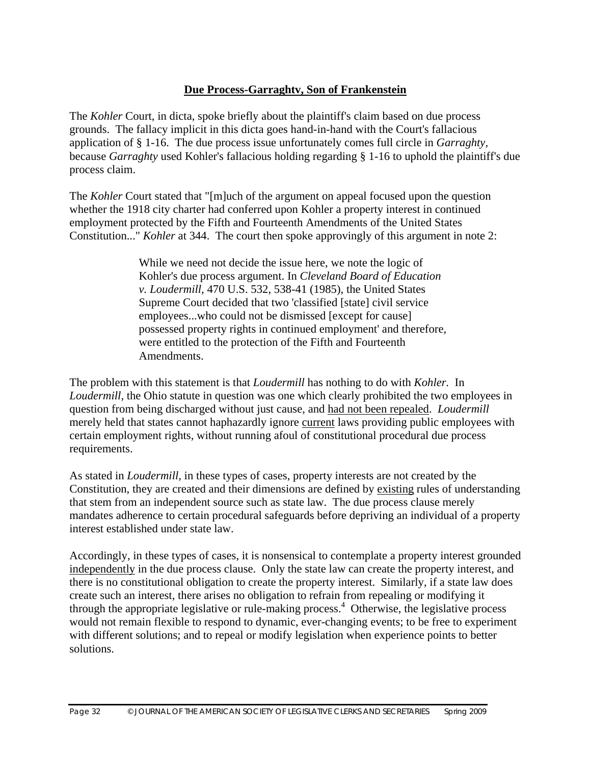#### **Due Process-Garraghtv, Son of Frankenstein**

The *Kohler* Court, in dicta, spoke briefly about the plaintiff's claim based on due process grounds. The fallacy implicit in this dicta goes hand-in-hand with the Court's fallacious application of § 1-16. The due process issue unfortunately comes full circle in *Garraghty,*  because *Garraghty* used Kohler's fallacious holding regarding § 1-16 to uphold the plaintiff's due process claim.

The *Kohler* Court stated that "[m]uch of the argument on appeal focused upon the question whether the 1918 city charter had conferred upon Kohler a property interest in continued employment protected by the Fifth and Fourteenth Amendments of the United States Constitution..." *Kohler* at 344. The court then spoke approvingly of this argument in note 2:

> While we need not decide the issue here, we note the logic of Kohler's due process argument. In *Cleveland Board of Education v. Loudermill,* 470 U.S. 532, 538-41 (1985), the United States Supreme Court decided that two 'classified [state] civil service employees...who could not be dismissed [except for cause] possessed property rights in continued employment' and therefore, were entitled to the protection of the Fifth and Fourteenth Amendments.

The problem with this statement is that *Loudermill* has nothing to do with *Kohler.* In *Loudermill*, the Ohio statute in question was one which clearly prohibited the two employees in question from being discharged without just cause, and had not been repealed. *Loudermill*  merely held that states cannot haphazardly ignore current laws providing public employees with certain employment rights, without running afoul of constitutional procedural due process requirements.

As stated in *Loudermill,* in these types of cases, property interests are not created by the Constitution, they are created and their dimensions are defined by existing rules of understanding that stem from an independent source such as state law. The due process clause merely mandates adherence to certain procedural safeguards before depriving an individual of a property interest established under state law.

Accordingly, in these types of cases, it is nonsensical to contemplate a property interest grounded independently in the due process clause. Only the state law can create the property interest, and there is no constitutional obligation to create the property interest. Similarly, if a state law does create such an interest, there arises no obligation to refrain from repealing or modifying it through the appropriate legislative or rule-making process.<sup>4</sup> Otherwise, the legislative process would not remain flexible to respond to dynamic, ever-changing events; to be free to experiment with different solutions; and to repeal or modify legislation when experience points to better solutions.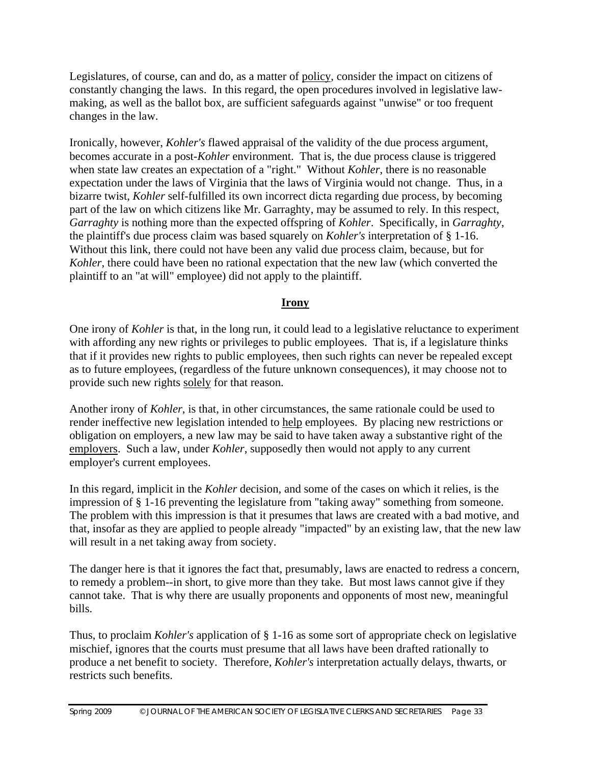Legislatures, of course, can and do, as a matter of policy, consider the impact on citizens of constantly changing the laws. In this regard, the open procedures involved in legislative lawmaking, as well as the ballot box, are sufficient safeguards against "unwise" or too frequent changes in the law.

Ironically, however, *Kohler's* flawed appraisal of the validity of the due process argument, becomes accurate in a post-*Kohler* environment. That is, the due process clause is triggered when state law creates an expectation of a "right." Without *Kohler*, there is no reasonable expectation under the laws of Virginia that the laws of Virginia would not change. Thus, in a bizarre twist, *Kohler* self-fulfilled its own incorrect dicta regarding due process, by becoming part of the law on which citizens like Mr. Garraghty, may be assumed to rely. In this respect, *Garraghty* is nothing more than the expected offspring of *Kohler*. Specifically, in *Garraghty*, the plaintiff's due process claim was based squarely on *Kohler's* interpretation of § 1-16. Without this link, there could not have been any valid due process claim, because, but for *Kohler*, there could have been no rational expectation that the new law (which converted the plaintiff to an "at will" employee) did not apply to the plaintiff.

#### **Irony**

One irony of *Kohler* is that, in the long run, it could lead to a legislative reluctance to experiment with affording any new rights or privileges to public employees. That is, if a legislature thinks that if it provides new rights to public employees, then such rights can never be repealed except as to future employees, (regardless of the future unknown consequences), it may choose not to provide such new rights solely for that reason.

Another irony of *Kohler*, is that, in other circumstances, the same rationale could be used to render ineffective new legislation intended to help employees. By placing new restrictions or obligation on employers, a new law may be said to have taken away a substantive right of the employers. Such a law, under *Kohler*, supposedly then would not apply to any current employer's current employees.

In this regard, implicit in the *Kohler* decision, and some of the cases on which it relies, is the impression of § 1-16 preventing the legislature from "taking away" something from someone. The problem with this impression is that it presumes that laws are created with a bad motive, and that, insofar as they are applied to people already "impacted" by an existing law, that the new law will result in a net taking away from society.

The danger here is that it ignores the fact that, presumably, laws are enacted to redress a concern, to remedy a problem--in short, to give more than they take. But most laws cannot give if they cannot take. That is why there are usually proponents and opponents of most new, meaningful bills.

Thus, to proclaim *Kohler's* application of § 1-16 as some sort of appropriate check on legislative mischief, ignores that the courts must presume that all laws have been drafted rationally to produce a net benefit to society. Therefore, *Kohler's* interpretation actually delays, thwarts, or restricts such benefits.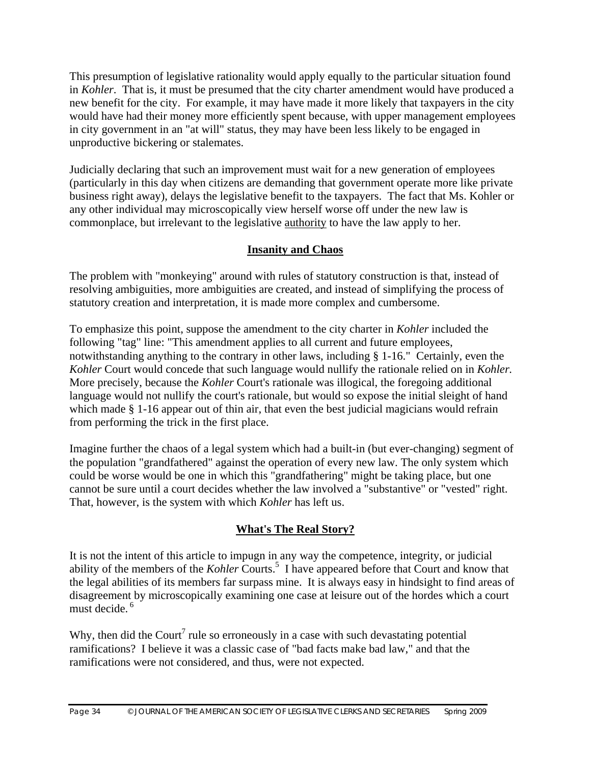This presumption of legislative rationality would apply equally to the particular situation found in *Kohler*. That is, it must be presumed that the city charter amendment would have produced a new benefit for the city. For example, it may have made it more likely that taxpayers in the city would have had their money more efficiently spent because, with upper management employees in city government in an "at will" status, they may have been less likely to be engaged in unproductive bickering or stalemates.

Judicially declaring that such an improvement must wait for a new generation of employees (particularly in this day when citizens are demanding that government operate more like private business right away), delays the legislative benefit to the taxpayers. The fact that Ms. Kohler or any other individual may microscopically view herself worse off under the new law is commonplace, but irrelevant to the legislative authority to have the law apply to her.

#### **Insanity and Chaos**

The problem with "monkeying" around with rules of statutory construction is that, instead of resolving ambiguities, more ambiguities are created, and instead of simplifying the process of statutory creation and interpretation, it is made more complex and cumbersome.

To emphasize this point, suppose the amendment to the city charter in *Kohler* included the following "tag" line: "This amendment applies to all current and future employees, notwithstanding anything to the contrary in other laws, including § 1-16." Certainly, even the *Kohler* Court would concede that such language would nullify the rationale relied on in *Kohler.*  More precisely, because the *Kohler* Court's rationale was illogical, the foregoing additional language would not nullify the court's rationale, but would so expose the initial sleight of hand which made § 1-16 appear out of thin air, that even the best judicial magicians would refrain from performing the trick in the first place.

Imagine further the chaos of a legal system which had a built-in (but ever-changing) segment of the population "grandfathered" against the operation of every new law. The only system which could be worse would be one in which this "grandfathering" might be taking place, but one cannot be sure until a court decides whether the law involved a "substantive" or "vested" right. That, however, is the system with which *Kohler* has left us.

# **What's The Real Story?**

It is not the intent of this article to impugn in any way the competence, integrity, or judicial ability of the members of the *Kohler* Courts.<sup>5</sup> I have appeared before that Court and know that the legal abilities of its members far surpass mine. It is always easy in hindsight to find areas of disagreement by microscopically examining one case at leisure out of the hordes which a court must decide. 6

Why, then did the Court<sup>7</sup> rule so erroneously in a case with such devastating potential ramifications? I believe it was a classic case of "bad facts make bad law," and that the ramifications were not considered, and thus, were not expected.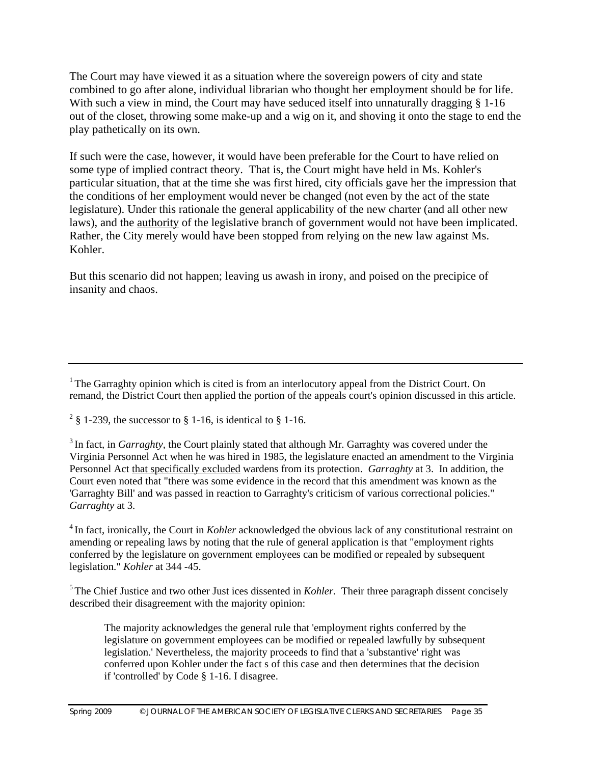The Court may have viewed it as a situation where the sovereign powers of city and state combined to go after alone, individual librarian who thought her employment should be for life. With such a view in mind, the Court may have seduced itself into unnaturally dragging § 1-16 out of the closet, throwing some make-up and a wig on it, and shoving it onto the stage to end the play pathetically on its own.

If such were the case, however, it would have been preferable for the Court to have relied on some type of implied contract theory. That is, the Court might have held in Ms. Kohler's particular situation, that at the time she was first hired, city officials gave her the impression that the conditions of her employment would never be changed (not even by the act of the state legislature). Under this rationale the general applicability of the new charter (and all other new laws), and the authority of the legislative branch of government would not have been implicated. Rather, the City merely would have been stopped from relying on the new law against Ms. Kohler.

But this scenario did not happen; leaving us awash in irony, and poised on the precipice of insanity and chaos.

<sup>1</sup> The Garraghty opinion which is cited is from an interlocutory appeal from the District Court. On remand, the District Court then applied the portion of the appeals court's opinion discussed in this article.

<sup>2</sup> § 1-239, the successor to § 1-16, is identical to § 1-16.

<sup>3</sup> In fact, in *Garraghty*, the Court plainly stated that although Mr. Garraghty was covered under the Virginia Personnel Act when he was hired in 1985, the legislature enacted an amendment to the Virginia Personnel Act that specifically excluded wardens from its protection. *Garraghty* at 3. In addition, the Court even noted that "there was some evidence in the record that this amendment was known as the 'Garraghty Bill' and was passed in reaction to Garraghty's criticism of various correctional policies." *Garraghty* at 3.

4 In fact, ironically, the Court in *Kohler* acknowledged the obvious lack of any constitutional restraint on amending or repealing laws by noting that the rule of general application is that "employment rights conferred by the legislature on government employees can be modified or repealed by subsequent legislation." *Kohler* at 344 -45.

<sup>5</sup> The Chief Justice and two other Just ices dissented in *Kohler*. Their three paragraph dissent concisely described their disagreement with the majority opinion:

The majority acknowledges the general rule that 'employment rights conferred by the legislature on government employees can be modified or repealed lawfully by subsequent legislation.' Nevertheless, the majority proceeds to find that a 'substantive' right was conferred upon Kohler under the fact s of this case and then determines that the decision if 'controlled' by Code § 1-16. I disagree.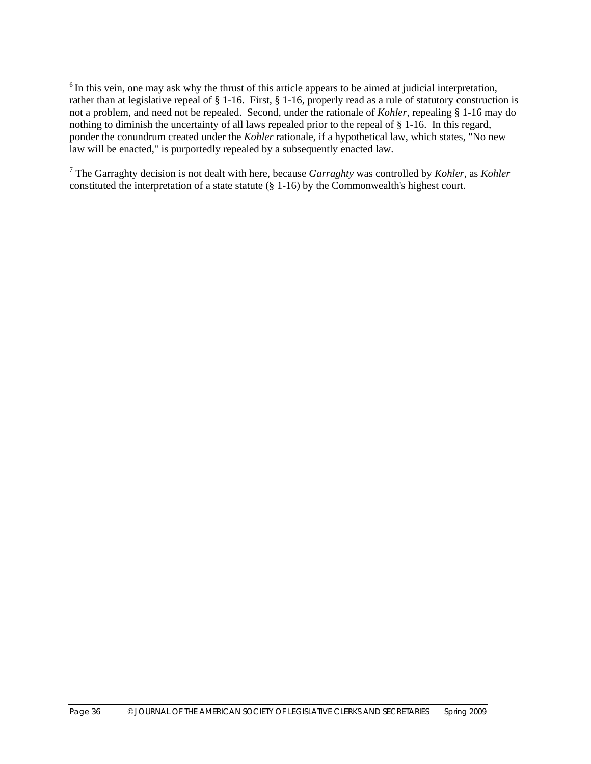$6$  In this vein, one may ask why the thrust of this article appears to be aimed at judicial interpretation, rather than at legislative repeal of § 1-16. First, § 1-16, properly read as a rule of statutory construction is not a problem, and need not be repealed. Second, under the rationale of *Kohler,* repealing § 1-16 may do nothing to diminish the uncertainty of all laws repealed prior to the repeal of § 1-16. In this regard, ponder the conundrum created under the *Kohler* rationale, if a hypothetical law, which states, "No new law will be enacted," is purportedly repealed by a subsequently enacted law.

7 The Garraghty decision is not dealt with here, because *Garraghty* was controlled by *Kohler,* as *Kohler*  constituted the interpretation of a state statute (§ 1-16) by the Commonwealth's highest court.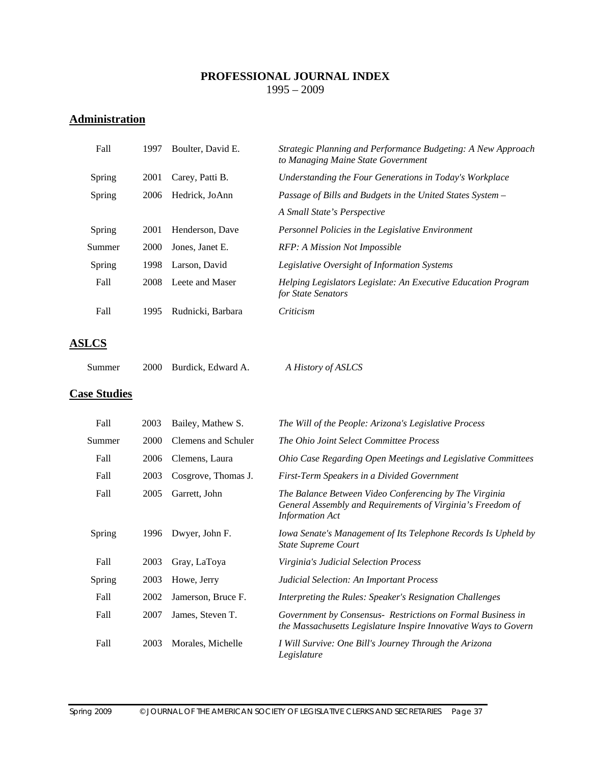#### **PROFESSIONAL JOURNAL INDEX**  1995 – 2009

# **Administration**

| Fall   | 1997 | Boulter, David E. | Strategic Planning and Performance Budgeting: A New Approach<br>to Managing Maine State Government |
|--------|------|-------------------|----------------------------------------------------------------------------------------------------|
| Spring | 2001 | Carey, Patti B.   | Understanding the Four Generations in Today's Workplace                                            |
| Spring | 2006 | Hedrick, JoAnn    | Passage of Bills and Budgets in the United States System –                                         |
|        |      |                   | A Small State's Perspective                                                                        |
| Spring | 2001 | Henderson, Dave   | Personnel Policies in the Legislative Environment                                                  |
| Summer | 2000 | Jones, Janet E.   | RFP: A Mission Not Impossible                                                                      |
| Spring | 1998 | Larson, David     | Legislative Oversight of Information Systems                                                       |
| Fall   | 2008 | Leete and Maser   | Helping Legislators Legislate: An Executive Education Program<br>for State Senators                |
| Fall   | 1995 | Rudnicki, Barbara | Criticism                                                                                          |

# **ASLCS**

| 2000 Burdick, Edward A.<br>Summer | A History of ASLCS |
|-----------------------------------|--------------------|
|-----------------------------------|--------------------|

### **Case Studies**

| Fall   | 2003        | Bailey, Mathew S.   | The Will of the People: Arizona's Legislative Process                                                                                          |
|--------|-------------|---------------------|------------------------------------------------------------------------------------------------------------------------------------------------|
| Summer | <b>2000</b> | Clemens and Schuler | The Ohio Joint Select Committee Process                                                                                                        |
| Fall   | 2006        | Clemens, Laura      | Ohio Case Regarding Open Meetings and Legislative Committees                                                                                   |
| Fall   | 2003        | Cosgrove, Thomas J. | First-Term Speakers in a Divided Government                                                                                                    |
| Fall   | 2005        | Garrett, John       | The Balance Between Video Conferencing by The Virginia<br>General Assembly and Requirements of Virginia's Freedom of<br><b>Information Act</b> |
| Spring | 1996        | Dwyer, John F.      | Iowa Senate's Management of Its Telephone Records Is Upheld by<br><b>State Supreme Court</b>                                                   |
| Fall   | 2003        | Gray, LaToya        | Virginia's Judicial Selection Process                                                                                                          |
| Spring | 2003        | Howe, Jerry         | Judicial Selection: An Important Process                                                                                                       |
| Fall   | 2002        | Jamerson, Bruce F.  | Interpreting the Rules: Speaker's Resignation Challenges                                                                                       |
| Fall   | 2007        | James, Steven T.    | Government by Consensus - Restrictions on Formal Business in<br>the Massachusetts Legislature Inspire Innovative Ways to Govern                |
| Fall   | 2003        | Morales, Michelle   | I Will Survive: One Bill's Journey Through the Arizona<br>Legislature                                                                          |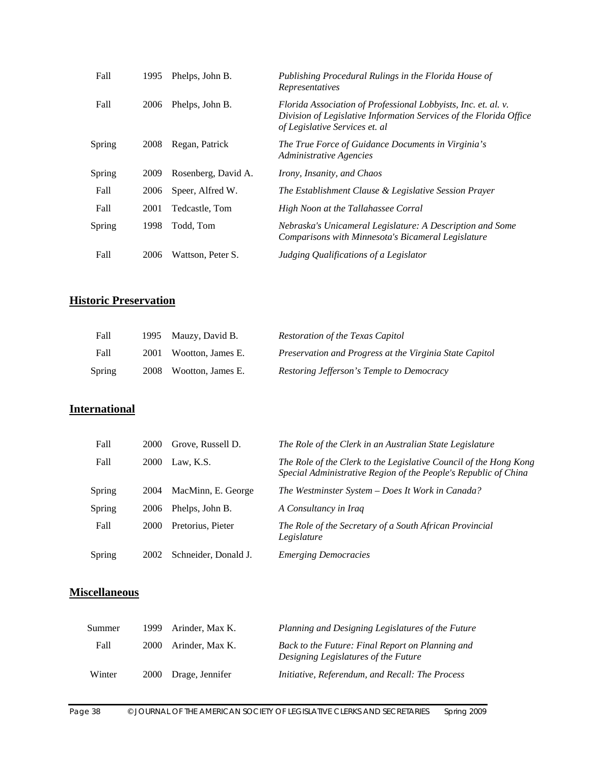| Fall   | 1995 | Phelps, John B.     | Publishing Procedural Rulings in the Florida House of<br>Representatives                                                                                               |
|--------|------|---------------------|------------------------------------------------------------------------------------------------------------------------------------------------------------------------|
| Fall   | 2006 | Phelps, John B.     | Florida Association of Professional Lobbyists, Inc. et. al. v.<br>Division of Legislative Information Services of the Florida Office<br>of Legislative Services et. al |
| Spring | 2008 | Regan, Patrick      | The True Force of Guidance Documents in Virginia's<br>Administrative Agencies                                                                                          |
| Spring | 2009 | Rosenberg, David A. | Irony, Insanity, and Chaos                                                                                                                                             |
| Fall   | 2006 | Speer, Alfred W.    | The Establishment Clause & Legislative Session Prayer                                                                                                                  |
| Fall   | 2001 | Tedcastle, Tom      | High Noon at the Tallahassee Corral                                                                                                                                    |
| Spring | 1998 | Todd, Tom           | Nebraska's Unicameral Legislature: A Description and Some<br>Comparisons with Minnesota's Bicameral Legislature                                                        |
| Fall   | 2006 | Wattson, Peter S.   | Judging Qualifications of a Legislator                                                                                                                                 |

# **Historic Preservation**

| Fall   | 1995 Mauzy, David B.   | Restoration of the Texas Capitol                        |
|--------|------------------------|---------------------------------------------------------|
| Fall   | 2001 Wootton, James E. | Preservation and Progress at the Virginia State Capitol |
| Spring | 2008 Wootton, James E. | Restoring Jefferson's Temple to Democracy               |

### **International**

| Fall   | 2000 | Grove, Russell D.    | The Role of the Clerk in an Australian State Legislature                                                                             |
|--------|------|----------------------|--------------------------------------------------------------------------------------------------------------------------------------|
| Fall   | 2000 | Law. K.S.            | The Role of the Clerk to the Legislative Council of the Hong Kong<br>Special Administrative Region of the People's Republic of China |
| Spring | 2004 | MacMinn, E. George   | The Westminster System - Does It Work in Canada?                                                                                     |
| Spring | 2006 | Phelps, John B.      | A Consultancy in Iraq                                                                                                                |
| Fall   | 2000 | Pretorius, Pieter    | The Role of the Secretary of a South African Provincial<br>Legislature                                                               |
| Spring | 2002 | Schneider, Donald J. | <b>Emerging Democracies</b>                                                                                                          |

### **Miscellaneous**

| Summer | 1999 Arinder, Max K. | Planning and Designing Legislatures of the Future                                        |
|--------|----------------------|------------------------------------------------------------------------------------------|
| Fall   | 2000 Arinder, Max K. | Back to the Future: Final Report on Planning and<br>Designing Legislatures of the Future |
| Winter | 2000 Drage, Jennifer | Initiative, Referendum, and Recall: The Process                                          |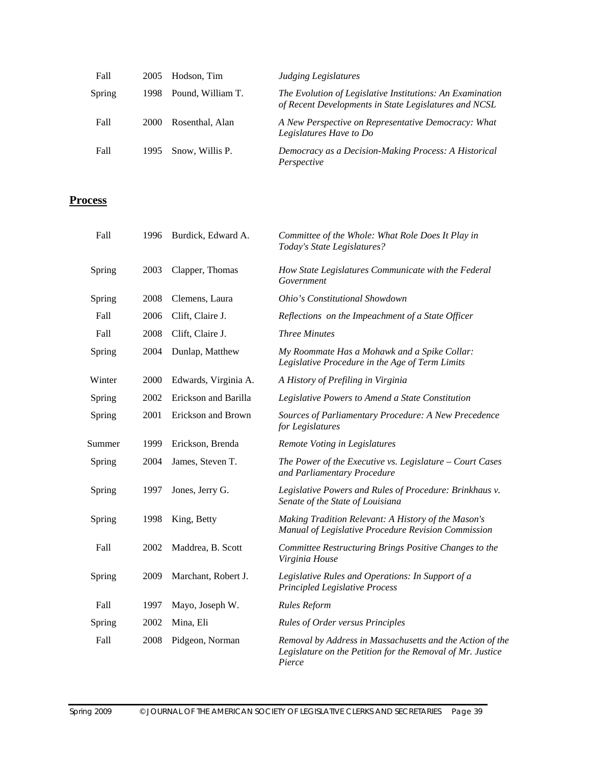| Fall   | 2005  | Hodson, Tim       | Judging Legislatures                                                                                               |
|--------|-------|-------------------|--------------------------------------------------------------------------------------------------------------------|
| Spring | 1998. | Pound, William T. | The Evolution of Legislative Institutions: An Examination<br>of Recent Developments in State Legislatures and NCSL |
| Fall   | 2000  | Rosenthal, Alan   | A New Perspective on Representative Democracy: What<br>Legislatures Have to Do                                     |
| Fall   | 1995. | Snow, Willis P.   | Democracy as a Decision-Making Process: A Historical<br>Perspective                                                |

#### **Process**

| Fall   | 1996 | Burdick, Edward A.   | Committee of the Whole: What Role Does It Play in<br>Today's State Legislatures?                                                  |
|--------|------|----------------------|-----------------------------------------------------------------------------------------------------------------------------------|
| Spring | 2003 | Clapper, Thomas      | How State Legislatures Communicate with the Federal<br>Government                                                                 |
| Spring | 2008 | Clemens, Laura       | Ohio's Constitutional Showdown                                                                                                    |
| Fall   | 2006 | Clift, Claire J.     | Reflections on the Impeachment of a State Officer                                                                                 |
| Fall   | 2008 | Clift, Claire J.     | <b>Three Minutes</b>                                                                                                              |
| Spring | 2004 | Dunlap, Matthew      | My Roommate Has a Mohawk and a Spike Collar:<br>Legislative Procedure in the Age of Term Limits                                   |
| Winter | 2000 | Edwards, Virginia A. | A History of Prefiling in Virginia                                                                                                |
| Spring | 2002 | Erickson and Barilla | Legislative Powers to Amend a State Constitution                                                                                  |
| Spring | 2001 | Erickson and Brown   | Sources of Parliamentary Procedure: A New Precedence<br>for Legislatures                                                          |
| Summer | 1999 | Erickson, Brenda     | Remote Voting in Legislatures                                                                                                     |
| Spring | 2004 | James, Steven T.     | The Power of the Executive vs. Legislature - Court Cases<br>and Parliamentary Procedure                                           |
| Spring | 1997 | Jones, Jerry G.      | Legislative Powers and Rules of Procedure: Brinkhaus v.<br>Senate of the State of Louisiana                                       |
| Spring | 1998 | King, Betty          | Making Tradition Relevant: A History of the Mason's<br>Manual of Legislative Procedure Revision Commission                        |
| Fall   | 2002 | Maddrea, B. Scott    | Committee Restructuring Brings Positive Changes to the<br>Virginia House                                                          |
| Spring | 2009 | Marchant, Robert J.  | Legislative Rules and Operations: In Support of a<br><b>Principled Legislative Process</b>                                        |
| Fall   | 1997 | Mayo, Joseph W.      | <b>Rules Reform</b>                                                                                                               |
| Spring | 2002 | Mina, Eli            | <b>Rules of Order versus Principles</b>                                                                                           |
| Fall   | 2008 | Pidgeon, Norman      | Removal by Address in Massachusetts and the Action of the<br>Legislature on the Petition for the Removal of Mr. Justice<br>Pierce |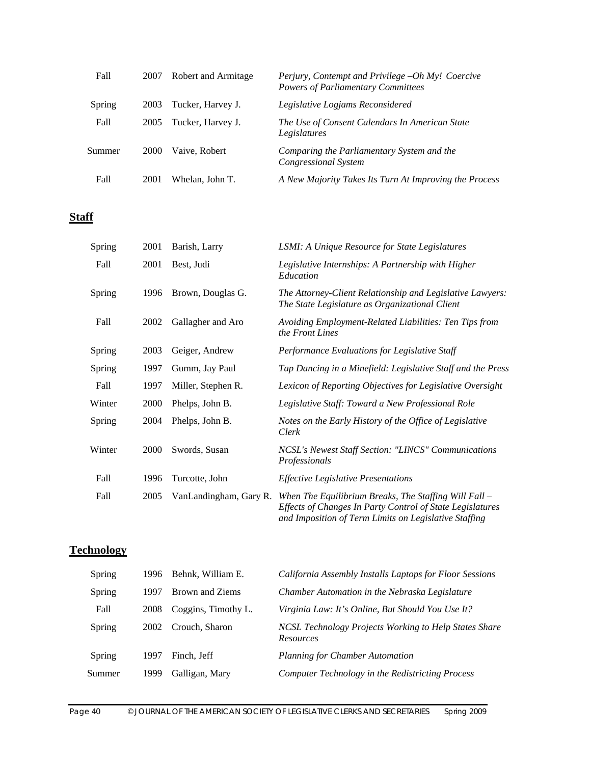| Fall   | 2007        | Robert and Armitage | Perjury, Contempt and Privilege -Oh My! Coercive<br><b>Powers of Parliamentary Committees</b> |
|--------|-------------|---------------------|-----------------------------------------------------------------------------------------------|
| Spring | 2003        | Tucker, Harvey J.   | Legislative Logjams Reconsidered                                                              |
| Fall   | 2005        | Tucker, Harvey J.   | The Use of Consent Calendars In American State<br>Legislatures                                |
| Summer | <b>2000</b> | Vaive, Robert       | Comparing the Parliamentary System and the<br>Congressional System                            |
| Fall   | 2001        | Whelan, John T.     | A New Majority Takes Its Turn At Improving the Process                                        |

### **Staff**

| Spring | 2001 | Barish, Larry          | LSMI: A Unique Resource for State Legislatures                                                                                                                                |
|--------|------|------------------------|-------------------------------------------------------------------------------------------------------------------------------------------------------------------------------|
| Fall   | 2001 | Best, Judi             | Legislative Internships: A Partnership with Higher<br>Education                                                                                                               |
| Spring | 1996 | Brown, Douglas G.      | The Attorney-Client Relationship and Legislative Lawyers:<br>The State Legislature as Organizational Client                                                                   |
| Fall   | 2002 | Gallagher and Aro      | Avoiding Employment-Related Liabilities: Ten Tips from<br>the Front Lines                                                                                                     |
| Spring | 2003 | Geiger, Andrew         | Performance Evaluations for Legislative Staff                                                                                                                                 |
| Spring | 1997 | Gumm, Jay Paul         | Tap Dancing in a Minefield: Legislative Staff and the Press                                                                                                                   |
| Fall   | 1997 | Miller, Stephen R.     | Lexicon of Reporting Objectives for Legislative Oversight                                                                                                                     |
| Winter | 2000 | Phelps, John B.        | Legislative Staff: Toward a New Professional Role                                                                                                                             |
| Spring | 2004 | Phelps, John B.        | Notes on the Early History of the Office of Legislative<br>Clerk                                                                                                              |
| Winter | 2000 | Swords, Susan          | NCSL's Newest Staff Section: "LINCS" Communications<br>Professionals                                                                                                          |
| Fall   | 1996 | Turcotte, John         | <b>Effective Legislative Presentations</b>                                                                                                                                    |
| Fall   | 2005 | VanLandingham, Gary R. | When The Equilibrium Breaks, The Staffing Will Fall $-$<br>Effects of Changes In Party Control of State Legislatures<br>and Imposition of Term Limits on Legislative Staffing |

### **Technology**

| Spring | 1996 | Behnk, William E.   | California Assembly Installs Laptops for Floor Sessions                   |
|--------|------|---------------------|---------------------------------------------------------------------------|
| Spring | 1997 | Brown and Ziems     | Chamber Automation in the Nebraska Legislature                            |
| Fall   | 2008 | Coggins, Timothy L. | Virginia Law: It's Online, But Should You Use It?                         |
| Spring | 2002 | Crouch, Sharon      | NCSL Technology Projects Working to Help States Share<br><b>Resources</b> |
| Spring | 1997 | Finch. Jeff         | <b>Planning for Chamber Automation</b>                                    |
| Summer | 1999 | Galligan, Mary      | Computer Technology in the Redistricting Process                          |